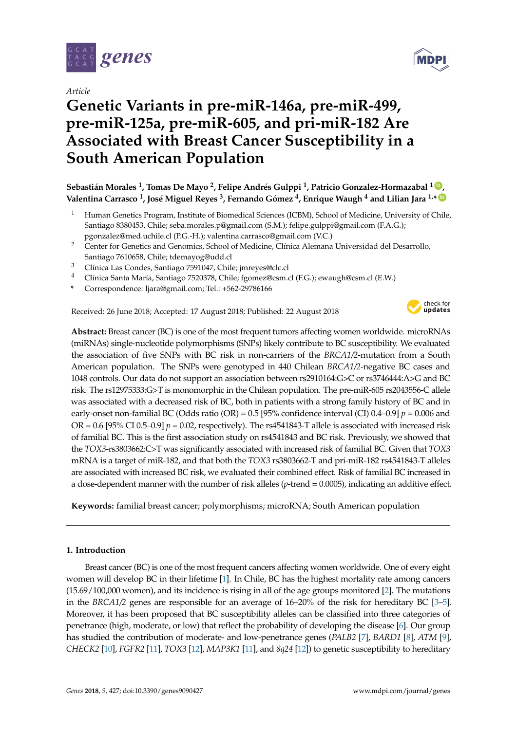

*Article*

# **Genetic Variants in pre-miR-146a, pre-miR-499, pre-miR-125a, pre-miR-605, and pri-miR-182 Are Associated with Breast Cancer Susceptibility in a South American Population**

**Sebastián Morales <sup>1</sup> , Tomas De Mayo <sup>2</sup> , Felipe Andrés Gulppi <sup>1</sup> , Patricio Gonzalez-Hormazabal <sup>1</sup> [ID](https://orcid.org/0000-0001-9786-2210) , Valentina Carrasco <sup>1</sup> , José Miguel Reyes <sup>3</sup> , Fernando Gómez <sup>4</sup> , Enrique Waugh <sup>4</sup> and Lilian Jara 1,\* [ID](https://orcid.org/0000-0001-5068-7259)**

- <sup>1</sup> Human Genetics Program, Institute of Biomedical Sciences (ICBM), School of Medicine, University of Chile, Santiago 8380453, Chile; seba.morales.p@gmail.com (S.M.); felipe.gulppi@gmail.com (F.A.G.); pgonzalez@med.uchile.cl (P.G.-H.); valentina.carrasco@gmail.com (V.C.)
- <sup>2</sup> Center for Genetics and Genomics, School of Medicine, Clínica Alemana Universidad del Desarrollo, Santiago 7610658, Chile; tdemayog@udd.cl
- <sup>3</sup> Clínica Las Condes, Santiago 7591047, Chile; jmreyes@clc.cl
- <sup>4</sup> Clínica Santa María, Santiago 7520378, Chile; fgomez@csm.cl (F.G.); ewaugh@csm.cl (E.W.)
- **\*** Correspondence: ljara@gmail.com; Tel.: +562-29786166

Received: 26 June 2018; Accepted: 17 August 2018; Published: 22 August 2018



**Abstract:** Breast cancer (BC) is one of the most frequent tumors affecting women worldwide. microRNAs (miRNAs) single-nucleotide polymorphisms (SNPs) likely contribute to BC susceptibility. We evaluated the association of five SNPs with BC risk in non-carriers of the *BRCA1/2*-mutation from a South American population. The SNPs were genotyped in 440 Chilean *BRCA1/2*-negative BC cases and 1048 controls. Our data do not support an association between rs2910164:G>C or rs3746444:A>G and BC risk. The rs12975333:G>T is monomorphic in the Chilean population. The pre-miR-605 rs2043556-C allele was associated with a decreased risk of BC, both in patients with a strong family history of BC and in early-onset non-familial BC (Odds ratio (OR) = 0.5 [95% confidence interval (CI) 0.4–0.9] *p* = 0.006 and OR =  $0.6$  [95% CI 0.5–0.9]  $p = 0.02$ , respectively). The rs4541843-T allele is associated with increased risk of familial BC. This is the first association study on rs4541843 and BC risk. Previously, we showed that the *TOX3*-rs3803662:C>T was significantly associated with increased risk of familial BC. Given that *TOX3* mRNA is a target of miR-182, and that both the *TOX3* rs3803662-T and pri-miR-182 rs4541843-T alleles are associated with increased BC risk, we evaluated their combined effect. Risk of familial BC increased in a dose-dependent manner with the number of risk alleles (*p*-trend = 0.0005), indicating an additive effect.

**Keywords:** familial breast cancer; polymorphisms; microRNA; South American population

# **1. Introduction**

Breast cancer (BC) is one of the most frequent cancers affecting women worldwide. One of every eight women will develop BC in their lifetime [\[1\]](#page-12-0). In Chile, BC has the highest mortality rate among cancers (15.69/100,000 women), and its incidence is rising in all of the age groups monitored [\[2\]](#page-12-1). The mutations in the *BRCA1/2* genes are responsible for an average of 16–20% of the risk for hereditary BC [\[3](#page-12-2)[–5\]](#page-12-3). Moreover, it has been proposed that BC susceptibility alleles can be classified into three categories of penetrance (high, moderate, or low) that reflect the probability of developing the disease [\[6\]](#page-12-4). Our group has studied the contribution of moderate- and low-penetrance genes (*PALB2* [\[7\]](#page-12-5), *BARD1* [\[8\]](#page-12-6), *ATM* [\[9\]](#page-12-7), *CHECK2* [\[10\]](#page-12-8), *FGFR2* [\[11\]](#page-12-9), *TOX3* [\[12\]](#page-13-0), *MAP3K1* [\[11\]](#page-12-9), and *8q24* [\[12\]](#page-13-0)) to genetic susceptibility to hereditary

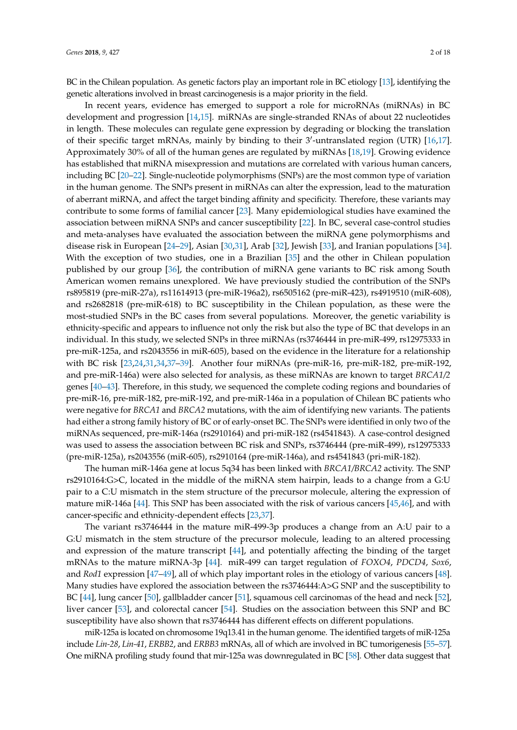BC in the Chilean population. As genetic factors play an important role in BC etiology [\[13\]](#page-13-1), identifying the genetic alterations involved in breast carcinogenesis is a major priority in the field.

In recent years, evidence has emerged to support a role for microRNAs (miRNAs) in BC development and progression [\[14,](#page-13-2)[15\]](#page-13-3). miRNAs are single-stranded RNAs of about 22 nucleotides in length. These molecules can regulate gene expression by degrading or blocking the translation of their specific target mRNAs, mainly by binding to their 3'-untranslated region (UTR) [\[16,](#page-13-4)[17\]](#page-13-5). Approximately 30% of all of the human genes are regulated by miRNAs [\[18,](#page-13-6)[19\]](#page-13-7). Growing evidence has established that miRNA misexpression and mutations are correlated with various human cancers, including BC [\[20–](#page-13-8)[22\]](#page-13-9). Single-nucleotide polymorphisms (SNPs) are the most common type of variation in the human genome. The SNPs present in miRNAs can alter the expression, lead to the maturation of aberrant miRNA, and affect the target binding affinity and specificity. Therefore, these variants may contribute to some forms of familial cancer [\[23\]](#page-13-10). Many epidemiological studies have examined the association between miRNA SNPs and cancer susceptibility [\[22\]](#page-13-9). In BC, several case-control studies and meta-analyses have evaluated the association between the miRNA gene polymorphisms and disease risk in European [\[24](#page-13-11)[–29\]](#page-13-12), Asian [\[30](#page-13-13)[,31\]](#page-13-14), Arab [\[32\]](#page-14-0), Jewish [\[33\]](#page-14-1), and Iranian populations [\[34\]](#page-14-2). With the exception of two studies, one in a Brazilian [\[35\]](#page-14-3) and the other in Chilean population published by our group [\[36\]](#page-14-4), the contribution of miRNA gene variants to BC risk among South American women remains unexplored. We have previously studied the contribution of the SNPs rs895819 (pre-miR-27a), rs11614913 (pre-miR-196a2), rs6505162 (pre-miR-423), rs4919510 (miR-608), and rs2682818 (pre-miR-618) to BC susceptibility in the Chilean population, as these were the most-studied SNPs in the BC cases from several populations. Moreover, the genetic variability is ethnicity-specific and appears to influence not only the risk but also the type of BC that develops in an individual. In this study, we selected SNPs in three miRNAs (rs3746444 in pre-miR-499, rs12975333 in pre-miR-125a, and rs2043556 in miR-605), based on the evidence in the literature for a relationship with BC risk [\[23](#page-13-10)[,24](#page-13-11)[,31](#page-13-14)[,34](#page-14-2)[,37](#page-14-5)[–39\]](#page-14-6). Another four miRNAs (pre-miR-16, pre-miR-182, pre-miR-192, and pre-miR-146a) were also selected for analysis, as these miRNAs are known to target *BRCA1/2* genes [\[40](#page-14-7)[–43\]](#page-14-8). Therefore, in this study, we sequenced the complete coding regions and boundaries of pre-miR-16, pre-miR-182, pre-miR-192, and pre-miR-146a in a population of Chilean BC patients who were negative for *BRCA1* and *BRCA2* mutations, with the aim of identifying new variants. The patients had either a strong family history of BC or of early-onset BC. The SNPs were identified in only two of the miRNAs sequenced, pre-miR-146a (rs2910164) and pri-miR-182 (rs4541843). A case-control designed was used to assess the association between BC risk and SNPs, rs3746444 (pre-miR-499), rs12975333 (pre-miR-125a), rs2043556 (miR-605), rs2910164 (pre-miR-146a), and rs4541843 (pri-miR-182).

The human miR-146a gene at locus 5q34 has been linked with *BRCA1/BRCA2* activity. The SNP rs2910164:G>C, located in the middle of the miRNA stem hairpin, leads to a change from a G:U pair to a C:U mismatch in the stem structure of the precursor molecule, altering the expression of mature miR-146a [\[44\]](#page-14-9). This SNP has been associated with the risk of various cancers [\[45](#page-14-10)[,46\]](#page-14-11), and with cancer-specific and ethnicity-dependent effects [\[23,](#page-13-10)[37\]](#page-14-5).

The variant rs3746444 in the mature miR-499-3p produces a change from an A:U pair to a G:U mismatch in the stem structure of the precursor molecule, leading to an altered processing and expression of the mature transcript [\[44\]](#page-14-9), and potentially affecting the binding of the target mRNAs to the mature miRNA-3p [\[44\]](#page-14-9). miR-499 can target regulation of *FOXO4*, *PDCD4*, *Sox6*, and *Rod1* expression [\[47–](#page-14-12)[49\]](#page-14-13), all of which play important roles in the etiology of various cancers [\[48\]](#page-14-14). Many studies have explored the association between the rs3746444:A>G SNP and the susceptibility to BC [\[44\]](#page-14-9), lung cancer [\[50\]](#page-15-0), gallbladder cancer [\[51\]](#page-15-1), squamous cell carcinomas of the head and neck [\[52\]](#page-15-2), liver cancer [\[53\]](#page-15-3), and colorectal cancer [\[54\]](#page-15-4). Studies on the association between this SNP and BC susceptibility have also shown that rs3746444 has different effects on different populations.

miR-125a is located on chromosome 19q13.41 in the human genome. The identified targets of miR-125a include *Lin-28*, *Lin-41*, *ERBB2*, and *ERBB3* mRNAs, all of which are involved in BC tumorigenesis [\[55](#page-15-5)[–57\]](#page-15-6). One miRNA profiling study found that mir-125a was downregulated in BC [\[58\]](#page-15-7). Other data suggest that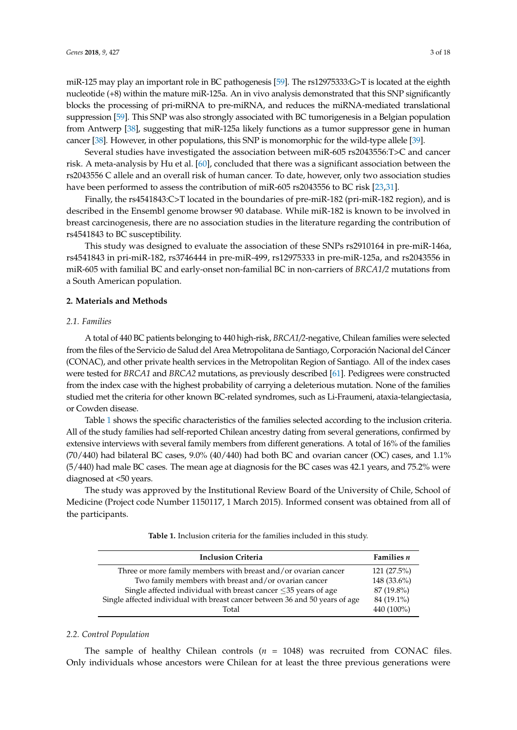miR-125 may play an important role in BC pathogenesis [\[59\]](#page-15-8). The rs12975333:G>T is located at the eighth nucleotide (+8) within the mature miR-125a. An in vivo analysis demonstrated that this SNP significantly blocks the processing of pri-miRNA to pre-miRNA, and reduces the miRNA-mediated translational suppression [\[59\]](#page-15-8). This SNP was also strongly associated with BC tumorigenesis in a Belgian population from Antwerp [\[38\]](#page-14-15), suggesting that miR-125a likely functions as a tumor suppressor gene in human cancer [\[38\]](#page-14-15). However, in other populations, this SNP is monomorphic for the wild-type allele [\[39\]](#page-14-6).

Several studies have investigated the association between miR-605 rs2043556:T>C and cancer risk. A meta-analysis by Hu et al. [\[60\]](#page-15-9), concluded that there was a significant association between the rs2043556 C allele and an overall risk of human cancer. To date, however, only two association studies have been performed to assess the contribution of miR-605 rs2043556 to BC risk [\[23](#page-13-10)[,31\]](#page-13-14).

Finally, the rs4541843:C>T located in the boundaries of pre-miR-182 (pri-miR-182 region), and is described in the Ensembl genome browser 90 database. While miR-182 is known to be involved in breast carcinogenesis, there are no association studies in the literature regarding the contribution of rs4541843 to BC susceptibility.

This study was designed to evaluate the association of these SNPs rs2910164 in pre-miR-146a, rs4541843 in pri-miR-182, rs3746444 in pre-miR-499, rs12975333 in pre-miR-125a, and rs2043556 in miR-605 with familial BC and early-onset non-familial BC in non-carriers of *BRCA1/2* mutations from a South American population.

#### **2. Materials and Methods**

## *2.1. Families*

A total of 440 BC patients belonging to 440 high-risk, *BRCA1/2*-negative, Chilean families were selected from the files of the Servicio de Salud del Area Metropolitana de Santiago, Corporación Nacional del Cáncer (CONAC), and other private health services in the Metropolitan Region of Santiago. All of the index cases were tested for *BRCA1* and *BRCA2* mutations, as previously described [\[61\]](#page-15-10). Pedigrees were constructed from the index case with the highest probability of carrying a deleterious mutation. None of the families studied met the criteria for other known BC-related syndromes, such as Li-Fraumeni, ataxia-telangiectasia, or Cowden disease.

Table [1](#page-2-0) shows the specific characteristics of the families selected according to the inclusion criteria. All of the study families had self-reported Chilean ancestry dating from several generations, confirmed by extensive interviews with several family members from different generations. A total of 16% of the families (70/440) had bilateral BC cases, 9.0% (40/440) had both BC and ovarian cancer (OC) cases, and 1.1% (5/440) had male BC cases. The mean age at diagnosis for the BC cases was 42.1 years, and 75.2% were diagnosed at <50 years.

<span id="page-2-0"></span>The study was approved by the Institutional Review Board of the University of Chile, School of Medicine (Project code Number 1150117, 1 March 2015). Informed consent was obtained from all of the participants.

**Table 1.** Inclusion criteria for the families included in this study.

| <b>Inclusion Criteria</b>                                                    | <b>Families</b> <i>n</i> |
|------------------------------------------------------------------------------|--------------------------|
| Three or more family members with breast and/or ovarian cancer               | $121(27.5\%)$            |
| Two family members with breast and/or ovarian cancer                         | 148 (33.6%)              |
| Single affected individual with breast cancer $\leq$ 35 years of age         | 87 (19.8%)               |
| Single affected individual with breast cancer between 36 and 50 years of age | 84 (19.1%)               |
| Total                                                                        | 440 (100%)               |

#### *2.2. Control Population*

The sample of healthy Chilean controls  $(n = 1048)$  was recruited from CONAC files. Only individuals whose ancestors were Chilean for at least the three previous generations were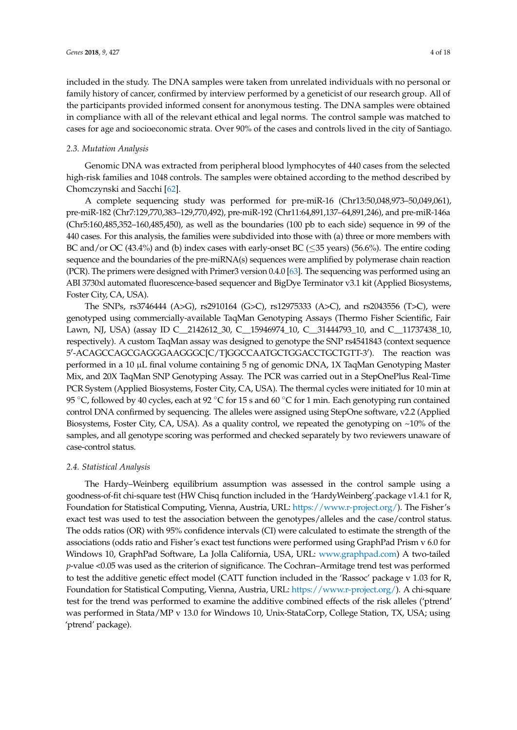included in the study. The DNA samples were taken from unrelated individuals with no personal or family history of cancer, confirmed by interview performed by a geneticist of our research group. All of the participants provided informed consent for anonymous testing. The DNA samples were obtained in compliance with all of the relevant ethical and legal norms. The control sample was matched to cases for age and socioeconomic strata. Over 90% of the cases and controls lived in the city of Santiago.

### *2.3. Mutation Analysis*

Genomic DNA was extracted from peripheral blood lymphocytes of 440 cases from the selected high-risk families and 1048 controls. The samples were obtained according to the method described by Chomczynski and Sacchi [\[62\]](#page-15-11).

A complete sequencing study was performed for pre-miR-16 (Chr13:50,048,973–50,049,061), pre-miR-182 (Chr7:129,770,383–129,770,492), pre-miR-192 (Chr11:64,891,137–64,891,246), and pre-miR-146a (Chr5:160,485,352–160,485,450), as well as the boundaries (100 pb to each side) sequence in 99 of the 440 cases. For this analysis, the families were subdivided into those with (a) three or more members with BC and/or OC  $(43.4\%)$  and (b) index cases with early-onset BC  $(\leq 35 \text{ years})$  (56.6%). The entire coding sequence and the boundaries of the pre-miRNA(s) sequences were amplified by polymerase chain reaction (PCR). The primers were designed with Primer3 version 0.4.0 [\[63\]](#page-15-12). The sequencing was performed using an ABI 3730xl automated fluorescence-based sequencer and BigDye Terminator v3.1 kit (Applied Biosystems, Foster City, CA, USA).

The SNPs, rs3746444 (A>G), rs2910164 (G>C), rs12975333 (A>C), and rs2043556 (T>C), were genotyped using commercially-available TaqMan Genotyping Assays (Thermo Fisher Scientific, Fair Lawn, NJ, USA) (assay ID C\_2142612\_30, C\_15946974\_10, C\_31444793\_10, and C\_11737438\_10, respectively). A custom TaqMan assay was designed to genotype the SNP rs4541843 (context sequence 5'-ACAGCCAGCGAGGGAAGGGC[C/T]GGCCAATGCTGGACCTGCTGTT-3'). The reaction was performed in a 10 µL final volume containing 5 ng of genomic DNA, 1X TaqMan Genotyping Master Mix, and 20X TaqMan SNP Genotyping Assay. The PCR was carried out in a StepOnePlus Real-Time PCR System (Applied Biosystems, Foster City, CA, USA). The thermal cycles were initiated for 10 min at 95 °C, followed by 40 cycles, each at 92 °C for 15 s and 60 °C for 1 min. Each genotyping run contained control DNA confirmed by sequencing. The alleles were assigned using StepOne software, v2.2 (Applied Biosystems, Foster City, CA, USA). As a quality control, we repeated the genotyping on ~10% of the samples, and all genotype scoring was performed and checked separately by two reviewers unaware of case-control status.

#### *2.4. Statistical Analysis*

The Hardy–Weinberg equilibrium assumption was assessed in the control sample using a goodness-of-fit chi-square test (HW Chisq function included in the 'HardyWeinberg'.package v1.4.1 for R, Foundation for Statistical Computing, Vienna, Austria, URL: [https://www.r-project.org/\)](https://www.r-project.org/). The Fisher's exact test was used to test the association between the genotypes/alleles and the case/control status. The odds ratios (OR) with 95% confidence intervals (CI) were calculated to estimate the strength of the associations (odds ratio and Fisher's exact test functions were performed using GraphPad Prism v 6.0 for Windows 10, GraphPad Software, La Jolla California, USA, URL: [www.graphpad.com\)](www.graphpad.com) A two-tailed *p*-value <0.05 was used as the criterion of significance. The Cochran–Armitage trend test was performed to test the additive genetic effect model (CATT function included in the 'Rassoc' package v 1.03 for R, Foundation for Statistical Computing, Vienna, Austria, URL: [https://www.r-project.org/\)](https://www.r-project.org/). A chi-square test for the trend was performed to examine the additive combined effects of the risk alleles ('ptrend' was performed in Stata/MP v 13.0 for Windows 10, Unix-StataCorp, College Station, TX, USA; using 'ptrend' package).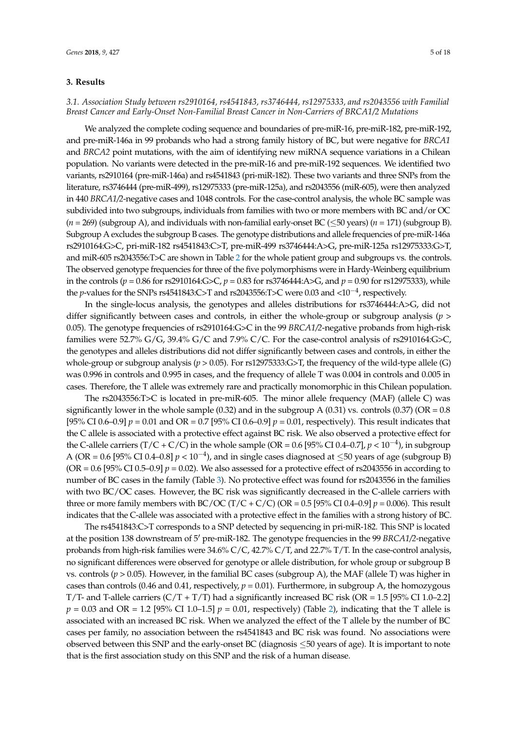## **3. Results**

# *3.1. Association Study between rs2910164, rs4541843, rs3746444, rs12975333, and rs2043556 with Familial Breast Cancer and Early-Onset Non-Familial Breast Cancer in Non-Carriers of BRCA1/2 Mutations*

We analyzed the complete coding sequence and boundaries of pre-miR-16, pre-miR-182, pre-miR-192, and pre-miR-146a in 99 probands who had a strong family history of BC, but were negative for *BRCA1* and *BRCA2* point mutations, with the aim of identifying new miRNA sequence variations in a Chilean population. No variants were detected in the pre-miR-16 and pre-miR-192 sequences. We identified two variants, rs2910164 (pre-miR-146a) and rs4541843 (pri-miR-182). These two variants and three SNPs from the literature, rs3746444 (pre-miR-499), rs12975333 (pre-miR-125a), and rs2043556 (miR-605), were then analyzed in 440 *BRCA1/2*-negative cases and 1048 controls. For the case-control analysis, the whole BC sample was subdivided into two subgroups, individuals from families with two or more members with BC and/or OC (*n* = 269) (subgroup A), and individuals with non-familial early-onset BC (≤50 years) (*n* = 171) (subgroup B). Subgroup A excludes the subgroup B cases. The genotype distributions and allele frequencies of pre-miR-146a rs2910164:G>C, pri-miR-182 rs4541843:C>T, pre-miR-499 rs3746444:A>G, pre-miR-125a rs12975333:G>T, and miR-605 rs2043556:T>C are shown in Table [2](#page-5-0) for the whole patient group and subgroups vs. the controls. The observed genotype frequencies for three of the five polymorphisms were in Hardy-Weinberg equilibrium in the controls ( $p = 0.86$  for rs2910164:G>C,  $p = 0.83$  for rs3746444:A>G, and  $p = 0.90$  for rs12975333), while the *p*-values for the SNPs rs4541843:C>T and rs2043556:T>C were 0.03 and <10<sup>-4</sup>, respectively.

In the single-locus analysis, the genotypes and alleles distributions for rs3746444:A>G, did not differ significantly between cases and controls, in either the whole-group or subgroup analysis (*p* > 0.05). The genotype frequencies of rs2910164:G>C in the 99 *BRCA1/2*-negative probands from high-risk families were 52.7% G/G, 39.4% G/C and 7.9% C/C. For the case-control analysis of rs2910164:G>C, the genotypes and alleles distributions did not differ significantly between cases and controls, in either the whole-group or subgroup analysis (*p* > 0.05). For rs12975333:G>T, the frequency of the wild-type allele (G) was 0.996 in controls and 0.995 in cases, and the frequency of allele T was 0.004 in controls and 0.005 in cases. Therefore, the T allele was extremely rare and practically monomorphic in this Chilean population.

The rs2043556:T>C is located in pre-miR-605. The minor allele frequency (MAF) (allele C) was significantly lower in the whole sample (0.32) and in the subgroup A (0.31) vs. controls (0.37) ( $OR = 0.8$ ) [95% CI 0.6–0.9] *p* = 0.01 and OR = 0.7 [95% CI 0.6–0.9] *p =* 0.01, respectively). This result indicates that the C allele is associated with a protective effect against BC risk. We also observed a protective effect for the C-allele carriers (T/C + C/C) in the whole sample (OR =  $0.6$  [95% CI 0.4–0.7],  $p < 10^{-4}$ ), in subgroup A (OR = 0.6 [95% CI 0.4–0.8]  $p < 10^{-4}$ ), and in single cases diagnosed at  $\leq$ 50 years of age (subgroup B) (OR =  $0.6$  [95% CI 0.5–0.9]  $p = 0.02$ ). We also assessed for a protective effect of rs2043556 in according to number of BC cases in the family (Table [3\)](#page-6-0). No protective effect was found for rs2043556 in the families with two BC/OC cases. However, the BC risk was significantly decreased in the C-allele carriers with three or more family members with BC/OC (T/C + C/C) (OR =  $0.5$  [95% CI 0.4–0.9]  $p = 0.006$ ). This result indicates that the C-allele was associated with a protective effect in the families with a strong history of BC.

The rs4541843:C>T corresponds to a SNP detected by sequencing in pri-miR-182. This SNP is located at the position 138 downstream of 5<sup>'</sup> pre-miR-182. The genotype frequencies in the 99 *BRCA1*/2-negative probands from high-risk families were 34.6% C/C, 42.7% C/T, and 22.7% T/T. In the case-control analysis, no significant differences were observed for genotype or allele distribution, for whole group or subgroup B vs. controls (*p* > 0.05). However, in the familial BC cases (subgroup A), the MAF (allele T) was higher in cases than controls  $(0.46$  and  $0.41$ , respectively,  $p = 0.01$ ). Furthermore, in subgroup A, the homozygous T/T- and T-allele carriers  $(C/T + T/T)$  had a significantly increased BC risk (OR = 1.5 [95% CI 1.0–2.2]  $p = 0.03$  and OR = 1.2 [95% CI 1.0–1.5]  $p = 0.01$ , respectively) (Table [2\)](#page-5-0), indicating that the T allele is associated with an increased BC risk. When we analyzed the effect of the T allele by the number of BC cases per family, no association between the rs4541843 and BC risk was found. No associations were observed between this SNP and the early-onset BC (diagnosis ≤50 years of age). It is important to note that is the first association study on this SNP and the risk of a human disease.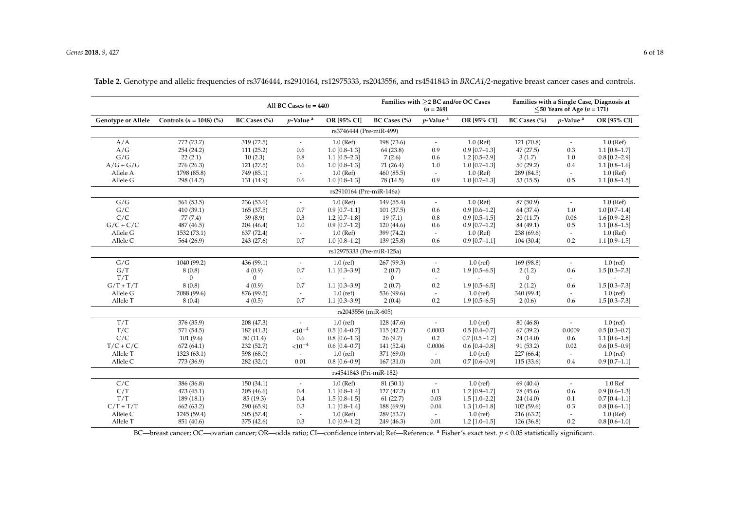|                           |                           | All BC Cases $(n = 440)$ |                          |                           |                | $(n = 269)$              | Families with >2 BC and/or OC Cases |              | $\leq$ 50 Years of Age ( <i>n</i> = 171) | Families with a Single Case, Diagnosis at |
|---------------------------|---------------------------|--------------------------|--------------------------|---------------------------|----------------|--------------------------|-------------------------------------|--------------|------------------------------------------|-------------------------------------------|
| <b>Genotype or Allele</b> | Controls $(n = 1048)$ (%) | BC Cases (%)             | $p$ -Value <sup>a</sup>  | OR [95% CI]               | BC Cases (%)   | $p$ -Value <sup>a</sup>  | OR [95% CI]                         | BC Cases (%) | $p$ -Value <sup>a</sup>                  | OR [95% CI]                               |
| rs3746444 (Pre-miR-499)   |                           |                          |                          |                           |                |                          |                                     |              |                                          |                                           |
| A/A                       | 772 (73.7)                | 319 (72.5)               | $\overline{\phantom{a}}$ | $1.0$ (Ref)               | 198 (73.6)     | $\overline{\phantom{a}}$ | $1.0$ (Ref)                         | 121 (70.8)   | $\mathcal{L}_{\mathcal{A}}$              | $1.0$ (Ref)                               |
| A/G                       | 254 (24.2)                | 111(25.2)                | 0.6                      | $1.0$ [0.8-1.3]           | 64(23.8)       | 0.9                      | $0.9$ [0.7-1.3]                     | 47(27.5)     | 0.3                                      | $1.1$ [0.8-1.7]                           |
| G/G                       | 22(2.1)                   | 10(2.3)                  | 0.8                      | $1.1$ [0.5-2.3]           | 7(2.6)         | 0.6                      | $1.2$ [0.5-2.9]                     | 3(1.7)       | $1.0\,$                                  | $0.8$ [0.2-2.9]                           |
| $A/G+G/G$                 | 276(26.3)                 | 121 (27.5)               | 0.6                      | $1.0$ [0.8-1.3]           | 71(26.4)       | 1.0                      | $1.0$ [0.7-1.3]                     | 50(29.2)     | 0.4                                      | $1.1$ [0.8-1.6]                           |
| Allele A                  | 1798 (85.8)               | 749 (85.1)               | $\overline{\phantom{a}}$ | $1.0$ (Ref)               | 460 (85.5)     | $\overline{\phantom{a}}$ | $1.0$ (Ref)                         | 289 (84.5)   | $\overline{\phantom{a}}$                 | $1.0$ (Ref)                               |
| Allele G                  | 298 (14.2)                | 131 (14.9)               | 0.6                      | $1.0$ [0.8-1.3]           | 78 (14.5)      | 0.9                      | $1.0$ [0.7-1.3]                     | 53(15.5)     | 0.5                                      | $1.1$ [0.8-1.5]                           |
|                           |                           |                          |                          | rs2910164 (Pre-miR-146a)  |                |                          |                                     |              |                                          |                                           |
| G/G                       | 561 (53.5)                | 236 (53.6)               | $\overline{\phantom{a}}$ | $1.0$ (Ref)               | 149 (55.4)     | $\overline{\phantom{a}}$ | $1.0$ (Ref)                         | 87 (50.9)    | $\overline{\phantom{a}}$                 | $1.0$ (Ref)                               |
| G/C                       | 410(39.1)                 | 165(37.5)                | 0.7                      | $0.9$ [0.7-1.1]           | 101(37.5)      | 0.6                      | $0.9$ [0.6-1.2]                     | 64 (37.4)    | 1.0                                      | $1.0$ [0.7-1.4]                           |
| C/C                       | 77(7.4)                   | 39(8.9)                  | 0.3                      | $1.2$ [0.7-1.8]           | 19(7.1)        | $0.8\,$                  | $0.9$ [0.5-1.5]                     | 20(11.7)     | 0.06                                     | $1.6$ [0.9-2.8]                           |
| $G/C + C/C$               | 487 (46.5)                | 204(46.4)                | $1.0\,$                  | $0.9$ [0.7-1.2]           | 120 (44.6)     | 0.6                      | $0.9$ [0.7-1.2]                     | 84 (49.1)    | 0.5                                      | $1.1$ [0.8-1.5]                           |
| Allele G                  | 1532 (73.1)               | 637 (72.4)               | $\overline{\phantom{a}}$ | $1.0$ (Ref)               | 399 (74.2)     | $\overline{\phantom{a}}$ | $1.0$ (Ref)                         | 238 (69.6)   | $\overline{\phantom{a}}$                 | $1.0$ (Ref)                               |
| Allele C                  | 564 (26.9)                | 243 (27.6)               | 0.7                      | $1.0$ [0.8-1.2]           | 139 (25.8)     | 0.6                      | $0.9$ [0.7-1.1]                     | 104(30.4)    | 0.2                                      | $1.1$ [0.9-1.5]                           |
|                           |                           |                          |                          | rs12975333 (Pre-miR-125a) |                |                          |                                     |              |                                          |                                           |
| G/G                       | 1040 (99.2)               | 436 (99.1)               | $\overline{\phantom{a}}$ | $1.0$ (ref)               | 267 (99.3)     | $\overline{\phantom{a}}$ | $1.0$ (ref)                         | 169 (98.8)   | $\sim$                                   | $1.0$ (ref)                               |
| G/T                       | 8(0.8)                    | 4(0.9)                   | 0.7                      | $1.1$ [0.3-3.9]           | 2(0.7)         | 0.2                      | $1.9$ [0.5-6.5]                     | 2(1.2)       | 0.6                                      | $1.5$ [0.3-7.3]                           |
| T/T                       | $\mathbf{0}$              | $\Omega$                 |                          |                           | $\overline{0}$ | $\overline{\phantom{a}}$ |                                     | $\mathbf{0}$ | $\overline{\phantom{a}}$                 |                                           |
| $G/T + T/T$               | 8(0.8)                    | 4(0.9)                   | 0.7                      | $1.1$ [0.3-3.9]           | 2(0.7)         | 0.2                      | $1.9$ [0.5-6.5]                     | 2(1.2)       | 0.6                                      | $1.5$ [0.3-7.3]                           |
| Allele G                  | 2088 (99.6)               | 876 (99.5)               | $\overline{\phantom{a}}$ | $1.0$ (ref)               | 536 (99.6)     | $\overline{\phantom{a}}$ | $1.0$ (ref)                         | 340 (99.4)   | $\overline{\phantom{a}}$                 | $1.0$ (ref)                               |
| Allele T                  | 8(0.4)                    | 4(0.5)                   | 0.7                      | $1.1$ [0.3-3.9]           | 2(0.4)         | 0.2                      | $1.9$ [0.5-6.5]                     | 2(0.6)       | 0.6                                      | $1.5$ [0.3-7.3]                           |
|                           |                           |                          |                          | rs2043556 (miR-605)       |                |                          |                                     |              |                                          |                                           |
| T/T                       | 376 (35.9)                | 208 (47.3)               |                          | $1.0$ (ref)               | 128 (47.6)     | $\overline{\phantom{a}}$ | $1.0$ (ref)                         | 80 (46.8)    | $\sim$                                   | $1.0$ (ref)                               |
| T/C                       | 571 (54.5)                | 182 (41.3)               | ${<}10^{-4}$             | $0.5$ [0.4-0.7]           | 115(42.7)      | 0.0003                   | $0.5$ [0.4-0.7]                     | 67(39.2)     | 0.0009                                   | $0.5$ [0.3-0.7]                           |
| C/C                       | 101(9.6)                  | 50(11.4)                 | 0.6                      | $0.8$ [0.6-1.3]           | 26(9.7)        | 0.2                      | $0.7$ [0.5 -1.2]                    | 24(14.0)     | 0.6                                      | $1.1$ [0.6-1.8]                           |
| $T/C + C/C$               | 672(64.1)                 | 232 (52.7)               | $<\!\!10^{-4}$           | $0.6$ [0.4-0.7]           | 141 (52.4)     | 0.0006                   | $0.6$ [0.4-0.8]                     | 91 (53.2)    | 0.02                                     | $0.6$ [0.5-0.9]                           |
| Allele T                  | 1323 (63.1)               | 598 (68.0)               | $\tilde{\phantom{a}}$    | $1.0$ (ref)               | 371 (69.0)     | $\overline{\phantom{a}}$ | $1.0$ (ref)                         | 227(66.4)    | $\overline{\phantom{a}}$                 | $1.0$ (ref)                               |
| Allele C                  | 773 (36.9)                | 282 (32.0)               | 0.01                     | $0.8$ [0.6-0.9]           | 167(31.0)      | 0.01                     | $0.7$ [0.6-0.9]                     | 115(33.6)    | 0.4                                      | $0.9$ [0.7-1.1]                           |
| rs4541843 (Pri-miR-182)   |                           |                          |                          |                           |                |                          |                                     |              |                                          |                                           |
| C/C                       | 386 (36.8)                | 150(34.1)                | $\overline{\phantom{a}}$ | $1.0$ (Ref)               | 81 (30.1)      | $\overline{\phantom{a}}$ | $1.0$ (ref)                         | 69 (40.4)    | $\mathcal{L}_{\mathcal{A}}$              | 1.0 Ref                                   |
| C/T                       | 473(45.1)                 | 205(46.6)                | 0.4                      | $1.1$ [0.8-1.4]           | 127(47.2)      | 0.1                      | $1.2$ [0.9-1.7]                     | 78 (45.6)    | 0.6                                      | $0.9$ [0.6-1.3]                           |
| T/T                       | 189(18.1)                 | 85 (19.3)                | 0.4                      | $1.5$ [0.8-1.5]           | 61(22.7)       | 0.03                     | $1.5$ [1.0-2.2]                     | 24(14.0)     | 0.1                                      | $0.7$ [0.4-1.1]                           |
| $C/T + T/T$               | 662 (63.2)                | 290 (65.9)               | 0.3                      | $1.1$ [0.8-1.4]           | 188 (69.9)     | 0.04                     | $1.3$ [1.0-1.8]                     | 102(59.6)    | 0.3                                      | $0.8$ [0.6-1.1]                           |
| Allele C                  | 1245 (59.4)               | 505 (57.4)               | $\overline{\phantom{a}}$ | $1.0$ (Ref)               | 289 (53.7)     | $\overline{\phantom{a}}$ | $1.0$ (ref)                         | 216(63.2)    | $\sim$                                   | $1.0$ (Ref)                               |
| Allele T                  | 851 (40.6)                | 375 (42.6)               | 0.3                      | $1.0$ [0.9-1.2]           | 249 (46.3)     | 0.01                     | $1.2$ [1.0-1.5]                     | 126(36.8)    | 0.2                                      | $0.8$ [0.6-1.0]                           |

**Table 2.** Genotype and allelic frequencies of rs3746444, rs2910164, rs12975333, rs2043556, and rs4541843 in *BRCA1/2*-negative breast cancer cases and controls.

<span id="page-5-0"></span>BC—breast cancer; OC—ovarian cancer; OR—odds ratio; CI—confidence interval; Ref—Reference. <sup>a</sup> Fisher's exact test. *p* < 0.05 statistically significant.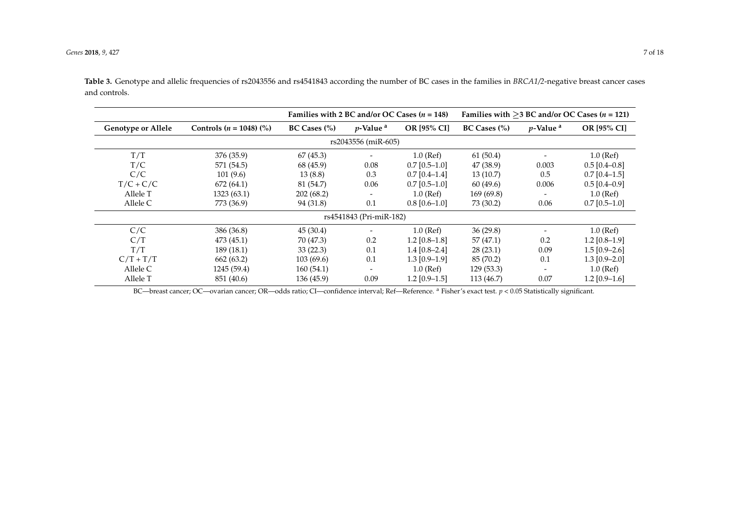|                           |                                      | Families with 2 BC and/or OC Cases $(n = 148)$ |                          |                 |                          |                          | Families with $>3$ BC and/or OC Cases ( <i>n</i> = 121) |  |  |  |
|---------------------------|--------------------------------------|------------------------------------------------|--------------------------|-----------------|--------------------------|--------------------------|---------------------------------------------------------|--|--|--|
| <b>Genotype or Allele</b> | Controls $(n = 1048)$ $\binom{9}{0}$ | $BC Cases$ (%)                                 | $p$ -Value <sup>a</sup>  | OR [95% CI]     | $BC Cases$ $\frac{0}{0}$ | $p$ -Value <sup>a</sup>  | OR [95% CI]                                             |  |  |  |
| rs2043556 (miR-605)       |                                      |                                                |                          |                 |                          |                          |                                                         |  |  |  |
| T/T                       | 376 (35.9)                           | 67(45.3)                                       | $\overline{\phantom{0}}$ | $1.0$ (Ref)     | 61(50.4)                 |                          | $1.0$ (Ref)                                             |  |  |  |
| T/C                       | 571 (54.5)                           | 68 (45.9)                                      | 0.08                     | $0.7$ [0.5–1.0] | 47 (38.9)                | 0.003                    | $0.5$ [0.4–0.8]                                         |  |  |  |
| C/C                       | 101(9.6)                             | 13(8.8)                                        | 0.3                      | $0.7$ [0.4-1.4] | 13(10.7)                 | 0.5                      | $0.7$ [0.4-1.5]                                         |  |  |  |
| $T/C + C/C$               | 672 (64.1)                           | 81 (54.7)                                      | 0.06                     | $0.7$ [0.5-1.0] | 60 (49.6)                | 0.006                    | $0.5$ [0.4–0.9]                                         |  |  |  |
| Allele T                  | 1323(63.1)                           | 202(68.2)                                      | $\overline{\phantom{a}}$ | $1.0$ (Ref)     | 169 (69.8)               |                          | $1.0$ (Ref)                                             |  |  |  |
| Allele C                  | 773 (36.9)                           | 94 (31.8)                                      | 0.1                      | $0.8$ [0.6–1.0] | 73 (30.2)                | 0.06                     | $0.7$ [0.5–1.0]                                         |  |  |  |
|                           | rs4541843 (Pri-miR-182)              |                                                |                          |                 |                          |                          |                                                         |  |  |  |
| C/C                       | 386 (36.8)                           | 45(30.4)                                       |                          | $1.0$ (Ref)     | 36(29.8)                 |                          | $1.0$ (Ref)                                             |  |  |  |
| C/T                       | 473 (45.1)                           | 70 (47.3)                                      | 0.2                      | $1.2$ [0.8–1.8] | 57 (47.1)                | 0.2                      | $1.2$ [0.8–1.9]                                         |  |  |  |
| T/T                       | 189 (18.1)                           | 33(22.3)                                       | 0.1                      | $1.4$ [0.8-2.4] | 28(23.1)                 | 0.09                     | $1.5$ [0.9–2.6]                                         |  |  |  |
| $C/T + T/T$               | 662 (63.2)                           | 103(69.6)                                      | 0.1                      | $1.3$ [0.9-1.9] | 85 (70.2)                | 0.1                      | $1.3$ [0.9-2.0]                                         |  |  |  |
| Allele C                  | 1245 (59.4)                          | 160(54.1)                                      | -                        | $1.0$ (Ref)     | 129(53.3)                | $\overline{\phantom{a}}$ | $1.0$ (Ref)                                             |  |  |  |
| Allele T                  | 851 (40.6)                           | 136 (45.9)                                     | 0.09                     | $1.2$ [0.9–1.5] | 113 (46.7)               | 0.07                     | $1.2$ [0.9-1.6]                                         |  |  |  |

**Table 3.** Genotype and allelic frequencies of rs2043556 and rs4541843 according the number of BC cases in the families in *BRCA1/2*-negative breast cancer cases and controls.

<span id="page-6-0"></span>BC—breast cancer; OC—ovarian cancer; OR—odds ratio; CI—confidence interval; Ref—Reference. <sup>a</sup> Fisher's exact test. *p* < 0.05 Statistically significant.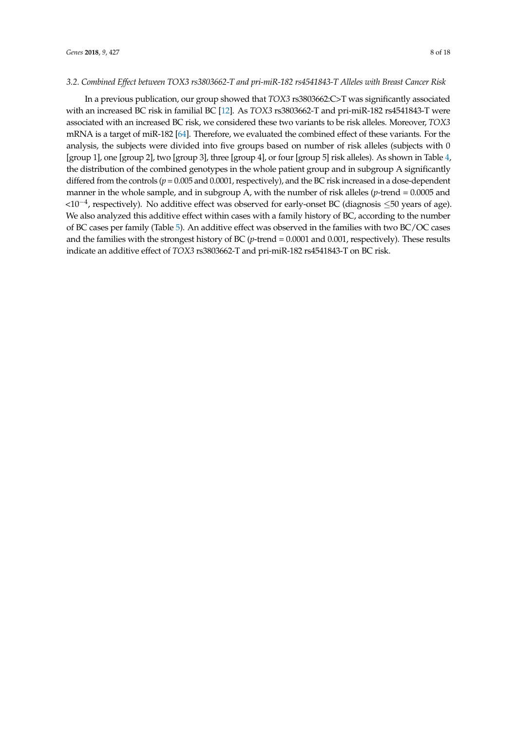#### *3.2. Combined Effect between TOX3 rs3803662-T and pri-miR-182 rs4541843-T Alleles with Breast Cancer Risk*

In a previous publication, our group showed that *TOX3* rs3803662:C>T was significantly associated with an increased BC risk in familial BC [\[12\]](#page-13-0). As *TOX3* rs3803662-T and pri-miR-182 rs4541843-T were associated with an increased BC risk, we considered these two variants to be risk alleles. Moreover, *TOX3* mRNA is a target of miR-182 [\[64\]](#page-15-13). Therefore, we evaluated the combined effect of these variants. For the analysis, the subjects were divided into five groups based on number of risk alleles (subjects with 0 [group 1], one [group 2], two [group 3], three [group 4], or four [group 5] risk alleles). As shown in Table [4,](#page-8-0) the distribution of the combined genotypes in the whole patient group and in subgroup A significantly differed from the controls (*p* = 0.005 and 0.0001, respectively), and the BC risk increased in a dose-dependent manner in the whole sample, and in subgroup A, with the number of risk alleles (*p*-trend = 0.0005 and <10−<sup>4</sup> , respectively). No additive effect was observed for early-onset BC (diagnosis ≤50 years of age). We also analyzed this additive effect within cases with a family history of BC, according to the number of BC cases per family (Table [5\)](#page-8-1). An additive effect was observed in the families with two BC/OC cases and the families with the strongest history of BC (*p*-trend = 0.0001 and 0.001, respectively). These results indicate an additive effect of *TOX3* rs3803662-T and pri-miR-182 rs4541843-T on BC risk.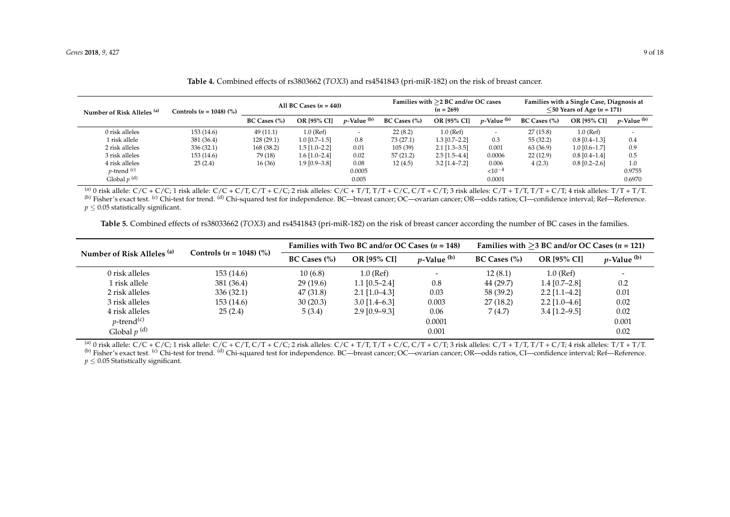| Number of Risk Alleles <sup>(a)</sup> | Controls ( <i>n</i> = 1048) (%) | All BC Cases $(n = 440)$ |                 |                          | Families with $>$ 2 BC and/or OC cases<br>$(n = 269)$ |                 |                          | Families with a Single Case, Diagnosis at<br>$\leq$ 50 Years of Age ( <i>n</i> = 171) |                 |                          |
|---------------------------------------|---------------------------------|--------------------------|-----------------|--------------------------|-------------------------------------------------------|-----------------|--------------------------|---------------------------------------------------------------------------------------|-----------------|--------------------------|
|                                       |                                 | $BC Cases$ $\frac{0}{0}$ | OR [95% CI]     | $p$ -Value $(b)$         | BC Cases (%)                                          | OR [95% CI]     | $p$ -Value $(b)$         | $BC Cases$ $\frac{0}{0}$                                                              | OR [95% CI]     | $p$ -Value $(b)$         |
| 0 risk alleles                        | 153(14.6)                       | 49(11.1)                 | $1.0$ (Ref)     | $\overline{\phantom{0}}$ | 22(8.2)                                               | 1.0 (Ref)       | $\overline{\phantom{a}}$ | 27(15.8)                                                                              | $1.0$ (Ref)     | $\overline{\phantom{a}}$ |
| 1 risk allele                         | 381 (36.4)                      | 128(29.1)                | $1.0$ [0.7-1.5] | 0.8                      | 73 (27.1)                                             | $1.3$ [0.7-2.2] | 0.3                      | 55(32.2)                                                                              | $0.8$ [0.4-1.3] | 0.4                      |
| 2 risk alleles                        | 336(32.1)                       | 168 (38.2)               | $1.5$ [1.0-2.2] | 0.01                     | 105(39)                                               | $2.1$ [1.3-3.5] | 0.001                    | 63 (36.9)                                                                             | $1.0$ [0.6-1.7] | 0.9                      |
| 3 risk alleles                        | 153(14.6)                       | 79 (18)                  | $1.6$ [1.0-2.4] | 0.02                     | 57(21.2)                                              | $2.5$ [1.5–4.4] | 0.0006                   | 22(12.9)                                                                              | $0.8$ [0.4-1.4] | 0.5                      |
| 4 risk alleles                        | 25(2.4)                         | 16(36)                   | $1.9$ [0.9-3.8] | 0.08                     | 12(4.5)                                               | $3.2$ [1.4–7.2] | 0.006                    | 4(2.3)                                                                                | $0.8$ [0.2-2.6] | 1.0                      |
| $p$ -trend $(c)$                      |                                 |                          |                 | 0.0005                   |                                                       |                 | ${<}10^{-4}$             |                                                                                       |                 | 0.9755                   |
| Global $p^{(d)}$                      |                                 |                          |                 | 0.005                    |                                                       |                 | 0.0001                   |                                                                                       |                 | 0.6970                   |

| Table 4. Combined effects of rs3803662 (TOX3) and rs4541843 (pri-miR-182) on the risk of breast cancer. |  |
|---------------------------------------------------------------------------------------------------------|--|
|---------------------------------------------------------------------------------------------------------|--|

(a) 0 risk allele: C/C + C/C; 1 risk allele: C/C + C/T, C/T + C/C; 2 risk alleles: C/C + T/T, T/T + C/C, C/T + C/T; 3 risk alleles: C/T + T/T, T/T + C/T; 4 risk alleles: T/T + T/T. (b) Fisher's exact test. <sup>(c)</sup> Chi-test for trend. <sup>(d)</sup> Chi-squared test for independence. BC—breast cancer; OC—ovarian cancer; OR—odds ratios; CI—confidence interval; Ref—Reference.  $p \leq 0.05$  statistically significant.

**Table 5.** Combined effects of rs38033662 (*TOX3*) and rs4541843 (pri-miR-182) on the risk of breast cancer according the number of BC cases in the families.

<span id="page-8-0"></span>

| Number of Risk Alleles (a) | Controls $(n = 1048)$ $\binom{9}{0}$ |                          | Families with Two BC and/or OC Cases $(n = 148)$ |                  | Families with $>3$ BC and/or OC Cases ( <i>n</i> = 121) |                    |                  |  |
|----------------------------|--------------------------------------|--------------------------|--------------------------------------------------|------------------|---------------------------------------------------------|--------------------|------------------|--|
|                            |                                      | $BC Cases$ $\frac{0}{0}$ | <b>OR [95% CI]</b>                               | $p$ -Value $(b)$ | $BC Cases$ $\frac{0}{0}$                                | <b>OR [95% CI]</b> | $p$ -Value $(b)$ |  |
| 0 risk alleles             | 153 (14.6)                           | 10(6.8)                  | $1.0$ (Ref)                                      |                  | 12(8.1)                                                 | $1.0$ (Ref)        |                  |  |
| l risk allele              | 381 (36.4)                           | 29(19.6)                 | $1.1$ [0.5-2.4]                                  | 0.8              | 44 (29.7)                                               | $1.4$ [0.7-2.8]    | 0.2              |  |
| 2 risk alleles             | 336(32.1)                            | 47 (31.8)                | $2.1$ [1.0–4.3]                                  | 0.03             | 58 (39.2)                                               | $2.2$ [1.1-4.2]    | 0.01             |  |
| 3 risk alleles             | 153 (14.6)                           | 30(20.3)                 | $3.0$ [1.4–6.3]                                  | 0.003            | 27(18.2)                                                | $2.2$ [1.0–4.6]    | 0.02             |  |
| 4 risk alleles             | 25(2.4)                              | 5(3.4)                   | $2.9$ [0.9-9.3]                                  | 0.06             | 7(4.7)                                                  | $3.4$ [1.2–9.5]    | 0.02             |  |
| $p$ -trend <sup>(c)</sup>  |                                      |                          |                                                  | 0.0001           |                                                         |                    | 0.001            |  |
| Global $p^{(d)}$           |                                      |                          |                                                  | 0.001            |                                                         |                    | 0.02             |  |

(a) 0 risk allele:  $C/C + C/C$ ; 1 risk allele:  $C/C + C/T$ ,  $C/T + C/C$ ; 2 risk alleles:  $C/C + T/T$ ,  $T/T + C/C$ ,  $C/T + C/T$ ; 3 risk alleles:  $C/T + T/T$ ,  $T/T + C/T$ ; 4 risk alleles:  $T/T + T/T$ . (b) Fisher's exact test. (c) Chi-test for trend. (d) Chi-squared test for independence. BC—breast cancer; OC—ovarian cancer; OR—odds ratios, CI—confidence interval; Ref—Reference.

<span id="page-8-1"></span>*p* ≤ 0.05 Statistically significant.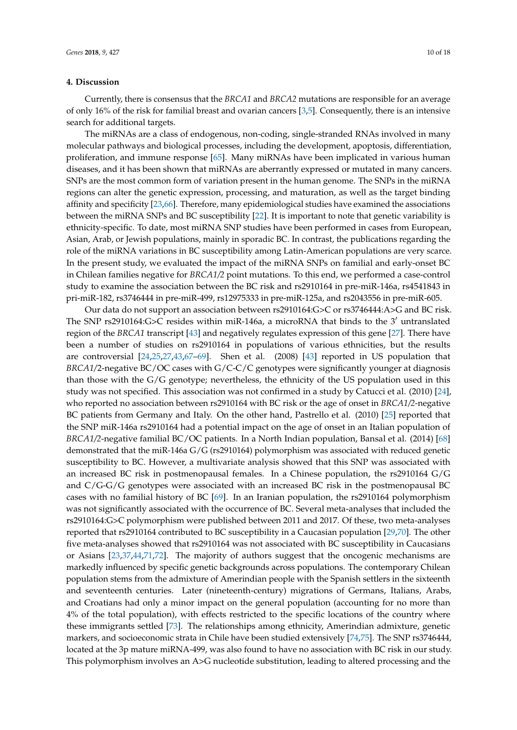### **4. Discussion**

Currently, there is consensus that the *BRCA1* and *BRCA2* mutations are responsible for an average of only 16% of the risk for familial breast and ovarian cancers [\[3](#page-12-2)[,5\]](#page-12-3). Consequently, there is an intensive search for additional targets.

The miRNAs are a class of endogenous, non-coding, single-stranded RNAs involved in many molecular pathways and biological processes, including the development, apoptosis, differentiation, proliferation, and immune response [\[65\]](#page-15-14). Many miRNAs have been implicated in various human diseases, and it has been shown that miRNAs are aberrantly expressed or mutated in many cancers. SNPs are the most common form of variation present in the human genome. The SNPs in the miRNA regions can alter the genetic expression, processing, and maturation, as well as the target binding affinity and specificity [\[23,](#page-13-10)[66\]](#page-15-15). Therefore, many epidemiological studies have examined the associations between the miRNA SNPs and BC susceptibility [\[22\]](#page-13-9). It is important to note that genetic variability is ethnicity-specific. To date, most miRNA SNP studies have been performed in cases from European, Asian, Arab, or Jewish populations, mainly in sporadic BC. In contrast, the publications regarding the role of the miRNA variations in BC susceptibility among Latin-American populations are very scarce. In the present study, we evaluated the impact of the miRNA SNPs on familial and early-onset BC in Chilean families negative for *BRCA1/2* point mutations. To this end, we performed a case-control study to examine the association between the BC risk and rs2910164 in pre-miR-146a, rs4541843 in pri-miR-182, rs3746444 in pre-miR-499, rs12975333 in pre-miR-125a, and rs2043556 in pre-miR-605.

Our data do not support an association between rs2910164:G>C or rs3746444:A>G and BC risk. The SNP rs2910164:G>C resides within miR-146a, a microRNA that binds to the  $3'$  untranslated region of the *BRCA1* transcript [\[43\]](#page-14-8) and negatively regulates expression of this gene [\[27\]](#page-13-15). There have been a number of studies on rs2910164 in populations of various ethnicities, but the results are controversial [\[24](#page-13-11)[,25](#page-13-16)[,27](#page-13-15)[,43,](#page-14-8)[67](#page-15-16)[–69\]](#page-15-17). Shen et al. (2008) [\[43\]](#page-14-8) reported in US population that *BRCA1/*2-negative BC/OC cases with G/C-C/C genotypes were significantly younger at diagnosis than those with the G/G genotype; nevertheless, the ethnicity of the US population used in this study was not specified. This association was not confirmed in a study by Catucci et al. (2010) [\[24\]](#page-13-11), who reported no association between rs2910164 with BC risk or the age of onset in *BRCA1/2*-negative BC patients from Germany and Italy. On the other hand, Pastrello et al. (2010) [\[25\]](#page-13-16) reported that the SNP miR-146a rs2910164 had a potential impact on the age of onset in an Italian population of *BRCA1/2*-negative familial BC/OC patients. In a North Indian population, Bansal et al. (2014) [\[68\]](#page-15-18) demonstrated that the miR-146a G/G (rs2910164) polymorphism was associated with reduced genetic susceptibility to BC. However, a multivariate analysis showed that this SNP was associated with an increased BC risk in postmenopausal females. In a Chinese population, the rs2910164 G/G and C/G-G/G genotypes were associated with an increased BC risk in the postmenopausal BC cases with no familial history of BC [\[69\]](#page-15-17). In an Iranian population, the rs2910164 polymorphism was not significantly associated with the occurrence of BC. Several meta-analyses that included the rs2910164:G>C polymorphism were published between 2011 and 2017. Of these, two meta-analyses reported that rs2910164 contributed to BC susceptibility in a Caucasian population [\[29,](#page-13-12)[70\]](#page-16-0). The other five meta-analyses showed that rs2910164 was not associated with BC susceptibility in Caucasians or Asians [\[23,](#page-13-10)[37,](#page-14-5)[44](#page-14-9)[,71](#page-16-1)[,72\]](#page-16-2). The majority of authors suggest that the oncogenic mechanisms are markedly influenced by specific genetic backgrounds across populations. The contemporary Chilean population stems from the admixture of Amerindian people with the Spanish settlers in the sixteenth and seventeenth centuries. Later (nineteenth-century) migrations of Germans, Italians, Arabs, and Croatians had only a minor impact on the general population (accounting for no more than 4% of the total population), with effects restricted to the specific locations of the country where these immigrants settled [\[73\]](#page-16-3). The relationships among ethnicity, Amerindian admixture, genetic markers, and socioeconomic strata in Chile have been studied extensively [\[74](#page-16-4)[,75\]](#page-16-5). The SNP rs3746444, located at the 3p mature miRNA-499, was also found to have no association with BC risk in our study. This polymorphism involves an A>G nucleotide substitution, leading to altered processing and the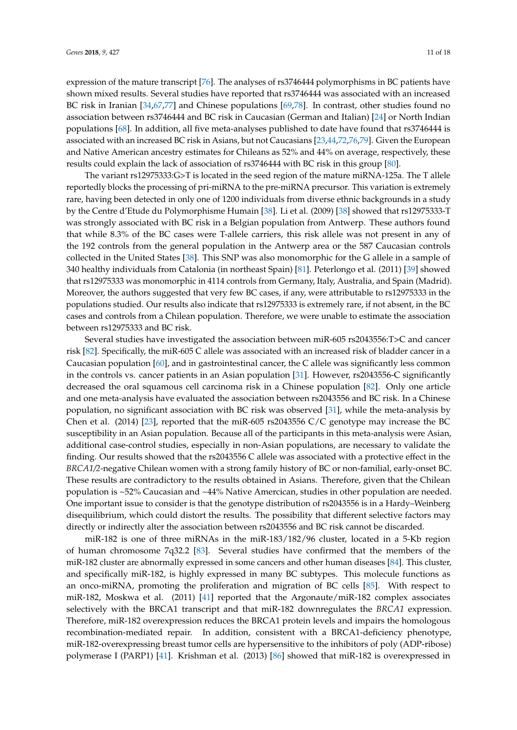expression of the mature transcript [\[76\]](#page-16-6). The analyses of rs3746444 polymorphisms in BC patients have shown mixed results. Several studies have reported that rs3746444 was associated with an increased BC risk in Iranian [\[34](#page-14-2)[,67](#page-15-16)[,77\]](#page-16-7) and Chinese populations [\[69](#page-15-17)[,78\]](#page-16-8). In contrast, other studies found no association between rs3746444 and BC risk in Caucasian (German and Italian) [\[24\]](#page-13-11) or North Indian populations [\[68\]](#page-15-18). In addition, all five meta-analyses published to date have found that rs3746444 is associated with an increased BC risk in Asians, but not Caucasians [\[23,](#page-13-10)[44,](#page-14-9)[72,](#page-16-2)[76](#page-16-6)[,79\]](#page-16-9). Given the European and Native American ancestry estimates for Chileans as 52% and 44% on average, respectively, these results could explain the lack of association of rs3746444 with BC risk in this group [\[80\]](#page-16-10).

The variant rs12975333:G>T is located in the seed region of the mature miRNA-125a. The T allele reportedly blocks the processing of pri-miRNA to the pre-miRNA precursor. This variation is extremely rare, having been detected in only one of 1200 individuals from diverse ethnic backgrounds in a study by the Centre d'Etude du Polymorphisme Humain [\[38\]](#page-14-15). Li et al. (2009) [\[38\]](#page-14-15) showed that rs12975333-T was strongly associated with BC risk in a Belgian population from Antwerp. These authors found that while 8.3% of the BC cases were T-allele carriers, this risk allele was not present in any of the 192 controls from the general population in the Antwerp area or the 587 Caucasian controls collected in the United States [\[38\]](#page-14-15). This SNP was also monomorphic for the G allele in a sample of 340 healthy individuals from Catalonia (in northeast Spain) [\[81\]](#page-16-11). Peterlongo et al. (2011) [\[39\]](#page-14-6) showed that rs12975333 was monomorphic in 4114 controls from Germany, Italy, Australia, and Spain (Madrid). Moreover, the authors suggested that very few BC cases, if any, were attributable to rs12975333 in the populations studied. Our results also indicate that rs12975333 is extremely rare, if not absent, in the BC cases and controls from a Chilean population. Therefore, we were unable to estimate the association between rs12975333 and BC risk.

Several studies have investigated the association between miR-605 rs2043556:T>C and cancer risk [\[82\]](#page-16-12). Specifically, the miR-605 C allele was associated with an increased risk of bladder cancer in a Caucasian population [\[60\]](#page-15-9), and in gastrointestinal cancer, the C allele was significantly less common in the controls vs. cancer patients in an Asian population [\[31\]](#page-13-14). However, rs2043556-C significantly decreased the oral squamous cell carcinoma risk in a Chinese population [\[82\]](#page-16-12). Only one article and one meta-analysis have evaluated the association between rs2043556 and BC risk. In a Chinese population, no significant association with BC risk was observed [\[31\]](#page-13-14), while the meta-analysis by Chen et al. (2014) [\[23\]](#page-13-10), reported that the miR-605 rs2043556 C/C genotype may increase the BC susceptibility in an Asian population. Because all of the participants in this meta-analysis were Asian, additional case-control studies, especially in non-Asian populations, are necessary to validate the finding. Our results showed that the rs2043556 C allele was associated with a protective effect in the *BRCA1/2*-negative Chilean women with a strong family history of BC or non-familial, early-onset BC. These results are contradictory to the results obtained in Asians. Therefore, given that the Chilean population is ~52% Caucasian and ~44% Native Amercican, studies in other population are needed. One important issue to consider is that the genotype distribution of rs2043556 is in a Hardy–Weinberg disequilibrium, which could distort the results. The possibility that different selective factors may directly or indirectly alter the association between rs2043556 and BC risk cannot be discarded.

miR-182 is one of three miRNAs in the miR-183/182/96 cluster, located in a 5-Kb region of human chromosome 7q32.2 [\[83\]](#page-16-13). Several studies have confirmed that the members of the miR-182 cluster are abnormally expressed in some cancers and other human diseases [\[84\]](#page-16-14). This cluster, and specifically miR-182, is highly expressed in many BC subtypes. This molecule functions as an onco-miRNA, promoting the proliferation and migration of BC cells [\[85\]](#page-16-15). With respect to miR-182, Moskwa et al. (2011) [\[41\]](#page-14-16) reported that the Argonaute/miR-182 complex associates selectively with the BRCA1 transcript and that miR-182 downregulates the *BRCA1* expression. Therefore, miR-182 overexpression reduces the BRCA1 protein levels and impairs the homologous recombination-mediated repair. In addition, consistent with a BRCA1-deficiency phenotype, miR-182-overexpressing breast tumor cells are hypersensitive to the inhibitors of poly (ADP-ribose) polymerase I (PARP1) [\[41\]](#page-14-16). Krishman et al. (2013) [\[86\]](#page-16-16) showed that miR-182 is overexpressed in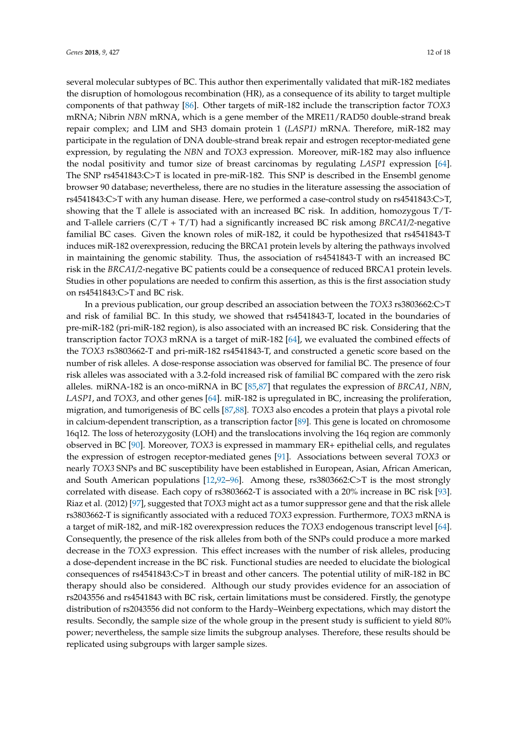several molecular subtypes of BC. This author then experimentally validated that miR-182 mediates the disruption of homologous recombination (HR), as a consequence of its ability to target multiple components of that pathway [\[86\]](#page-16-16). Other targets of miR-182 include the transcription factor *TOX3* mRNA; Nibrin *NBN* mRNA, which is a gene member of the MRE11/RAD50 double-strand break repair complex; and LIM and SH3 domain protein 1 (*LASP1)* mRNA. Therefore, miR-182 may participate in the regulation of DNA double-strand break repair and estrogen receptor-mediated gene expression, by regulating the *NBN* and *TOX3* expression. Moreover, miR-182 may also influence the nodal positivity and tumor size of breast carcinomas by regulating *LASP1* expression [\[64\]](#page-15-13). The SNP rs4541843:C>T is located in pre-miR-182. This SNP is described in the Ensembl genome browser 90 database; nevertheless, there are no studies in the literature assessing the association of rs4541843:C>T with any human disease. Here, we performed a case-control study on rs4541843:C>T, showing that the T allele is associated with an increased BC risk. In addition, homozygous T/Tand T-allele carriers (C/T + T/T) had a significantly increased BC risk among *BRCA1/2*-negative familial BC cases. Given the known roles of miR-182, it could be hypothesized that rs4541843-T induces miR-182 overexpression, reducing the BRCA1 protein levels by altering the pathways involved in maintaining the genomic stability. Thus, the association of rs4541843-T with an increased BC risk in the *BRCA1/2*-negative BC patients could be a consequence of reduced BRCA1 protein levels. Studies in other populations are needed to confirm this assertion, as this is the first association study on rs4541843:C>T and BC risk.

In a previous publication, our group described an association between the *TOX3* rs3803662:C>T and risk of familial BC. In this study, we showed that rs4541843-T, located in the boundaries of pre-miR-182 (pri-miR-182 region), is also associated with an increased BC risk. Considering that the transcription factor *TOX3* mRNA is a target of miR-182 [\[64\]](#page-15-13), we evaluated the combined effects of the *TOX3* rs3803662-T and pri-miR-182 rs4541843-T, and constructed a genetic score based on the number of risk alleles. A dose-response association was observed for familial BC. The presence of four risk alleles was associated with a 3.2-fold increased risk of familial BC compared with the zero risk alleles. miRNA-182 is an onco-miRNA in BC [\[85](#page-16-15)[,87\]](#page-16-17) that regulates the expression of *BRCA1*, *NBN*, *LASP1*, and *TOX3*, and other genes [\[64\]](#page-15-13). miR-182 is upregulated in BC, increasing the proliferation, migration, and tumorigenesis of BC cells [\[87,](#page-16-17)[88\]](#page-16-18). *TOX3* also encodes a protein that plays a pivotal role in calcium-dependent transcription, as a transcription factor [\[89\]](#page-16-19). This gene is located on chromosome 16q12. The loss of heterozygosity (LOH) and the translocations involving the 16q region are commonly observed in BC [\[90\]](#page-17-0). Moreover, *TOX3* is expressed in mammary ER+ epithelial cells, and regulates the expression of estrogen receptor-mediated genes [\[91\]](#page-17-1). Associations between several *TOX3* or nearly *TOX3* SNPs and BC susceptibility have been established in European, Asian, African American, and South American populations [\[12](#page-13-0)[,92–](#page-17-2)[96\]](#page-17-3). Among these, rs3803662:C>T is the most strongly correlated with disease. Each copy of rs3803662-T is associated with a 20% increase in BC risk [\[93\]](#page-17-4). Riaz et al. (2012) [\[97\]](#page-17-5), suggested that *TOX3* might act as a tumor suppressor gene and that the risk allele rs3803662-T is significantly associated with a reduced *TOX3* expression. Furthermore, *TOX3* mRNA is a target of miR-182, and miR-182 overexpression reduces the *TOX3* endogenous transcript level [\[64\]](#page-15-13). Consequently, the presence of the risk alleles from both of the SNPs could produce a more marked decrease in the *TOX3* expression. This effect increases with the number of risk alleles, producing a dose-dependent increase in the BC risk. Functional studies are needed to elucidate the biological consequences of rs4541843:C>T in breast and other cancers. The potential utility of miR-182 in BC therapy should also be considered. Although our study provides evidence for an association of rs2043556 and rs4541843 with BC risk, certain limitations must be considered. Firstly, the genotype distribution of rs2043556 did not conform to the Hardy–Weinberg expectations, which may distort the results. Secondly, the sample size of the whole group in the present study is sufficient to yield 80% power; nevertheless, the sample size limits the subgroup analyses. Therefore, these results should be replicated using subgroups with larger sample sizes.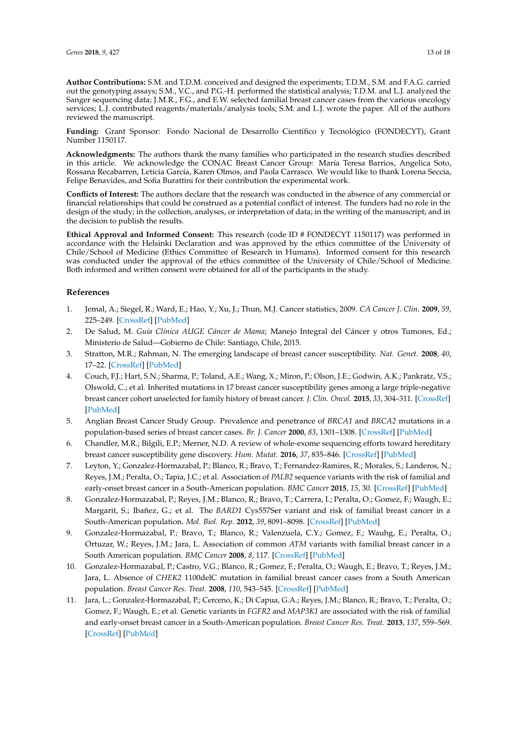**Author Contributions:** S.M. and T.D.M. conceived and designed the experiments; T.D.M., S.M. and F.A.G. carried out the genotyping assays; S.M., V.C., and P.G.-H. performed the statistical analysis; T.D.M. and L.J. analyzed the Sanger sequencing data; J.M.R., F.G., and E.W. selected familial breast cancer cases from the various oncology services; L.J. contributed reagents/materials/analysis tools; S.M. and L.J. wrote the paper. All of the authors reviewed the manuscript.

**Funding:** Grant Sponsor: Fondo Nacional de Desarrollo Científico y Tecnológico (FONDECYT), Grant Number 1150117.

**Acknowledgments:** The authors thank the many families who participated in the research studies described in this article. We acknowledge the CONAC Breast Cancer Group: María Teresa Barrios, Angelica Soto, Rossana Recabarren, Leticia García, Karen Olmos, and Paola Carrasco. We would like to thank Lorena Seccia, Felipe Benavides, and Sofia Burattini for their contribution the experimental work.

**Conflicts of Interest:** The authors declare that the research was conducted in the absence of any commercial or financial relationships that could be construed as a potential conflict of interest. The funders had no role in the design of the study; in the collection, analyses, or interpretation of data; in the writing of the manuscript; and in the decision to publish the results.

**Ethical Approval and Informed Consent:** This research (code ID # FONDECYT 1150117) was performed in accordance with the Helsinki Declaration and was approved by the ethics committee of the University of Chile/School of Medicine (Ethics Committee of Research in Humans). Informed consent for this research was conducted under the approval of the ethics committee of the University of Chile/School of Medicine. Both informed and written consent were obtained for all of the participants in the study.

# **References**

- <span id="page-12-0"></span>1. Jemal, A.; Siegel, R.; Ward, E.; Hao, Y.; Xu, J.; Thun, M.J. Cancer statistics, 2009. *CA Cancer J. Clin.* **2009**, *59*, 225–249. [\[CrossRef\]](http://dx.doi.org/10.3322/caac.20006) [\[PubMed\]](http://www.ncbi.nlm.nih.gov/pubmed/19474385)
- <span id="page-12-1"></span>2. De Salud, M. *Guía Clínica AUGE Cáncer de Mama*; Manejo Integral del Cáncer y otros Tumores, Ed.; Ministerio de Salud—Gobierno de Chile: Santiago, Chile, 2015.
- <span id="page-12-2"></span>3. Stratton, M.R.; Rahman, N. The emerging landscape of breast cancer susceptibility. *Nat. Genet.* **2008**, *40*, 17–22. [\[CrossRef\]](http://dx.doi.org/10.1038/ng.2007.53) [\[PubMed\]](http://www.ncbi.nlm.nih.gov/pubmed/18163131)
- 4. Couch, F.J.; Hart, S.N.; Sharma, P.; Toland, A.E.; Wang, X.; Miron, P.; Olson, J.E.; Godwin, A.K.; Pankratz, V.S.; Olswold, C.; et al. Inherited mutations in 17 breast cancer susceptibility genes among a large triple-negative breast cancer cohort unselected for family history of breast cancer. *J. Clin. Oncol.* **2015**, *33*, 304–311. [\[CrossRef\]](http://dx.doi.org/10.1200/JCO.2014.57.1414) [\[PubMed\]](http://www.ncbi.nlm.nih.gov/pubmed/25452441)
- <span id="page-12-3"></span>5. Anglian Breast Cancer Study Group. Prevalence and penetrance of *BRCA1* and *BRCA2* mutations in a population-based series of breast cancer cases. *Br. J. Cancer* **2000**, *83*, 1301–1308. [\[CrossRef\]](http://dx.doi.org/10.1054/bjoc.2000.1407) [\[PubMed\]](http://www.ncbi.nlm.nih.gov/pubmed/11044354)
- <span id="page-12-4"></span>6. Chandler, M.R.; Bilgili, E.P.; Merner, N.D. A review of whole-exome sequencing efforts toward hereditary breast cancer susceptibility gene discovery. *Hum. Mutat.* **2016**, *37*, 835–846. [\[CrossRef\]](http://dx.doi.org/10.1002/humu.23017) [\[PubMed\]](http://www.ncbi.nlm.nih.gov/pubmed/27226120)
- <span id="page-12-5"></span>7. Leyton, Y.; Gonzalez-Hormazabal, P.; Blanco, R.; Bravo, T.; Fernandez-Ramires, R.; Morales, S.; Landeros, N.; Reyes, J.M.; Peralta, O.; Tapia, J.C.; et al. Association of *PALB2* sequence variants with the risk of familial and early-onset breast cancer in a South-American population. *BMC Cancer* **2015**, *15*, 30. [\[CrossRef\]](http://dx.doi.org/10.1186/s12885-015-1033-3) [\[PubMed\]](http://www.ncbi.nlm.nih.gov/pubmed/25636233)
- <span id="page-12-6"></span>8. Gonzalez-Hormazabal, P.; Reyes, J.M.; Blanco, R.; Bravo, T.; Carrera, I.; Peralta, O.; Gomez, F.; Waugh, E.; Margarit, S.; Ibañez, G.; et al. The *BARD1* Cys557Ser variant and risk of familial breast cancer in a South-American population. *Mol. Biol. Rep.* **2012**, *39*, 8091–8098. [\[CrossRef\]](http://dx.doi.org/10.1007/s11033-012-1656-2) [\[PubMed\]](http://www.ncbi.nlm.nih.gov/pubmed/22544576)
- <span id="page-12-7"></span>9. Gonzalez-Hormazabal, P.; Bravo, T.; Blanco, R.; Valenzuela, C.Y.; Gomez, F.; Wauhg, E.; Peralta, O.; Ortuzar, W.; Reyes, J.M.; Jara, L. Association of common *ATM* variants with familial breast cancer in a South American population. *BMC Cancer* **2008**, *8*, 117. [\[CrossRef\]](http://dx.doi.org/10.1186/1471-2407-8-117) [\[PubMed\]](http://www.ncbi.nlm.nih.gov/pubmed/18433505)
- <span id="page-12-8"></span>10. Gonzalez-Hormazabal, P.; Castro, V.G.; Blanco, R.; Gomez, F.; Peralta, O.; Waugh, E.; Bravo, T.; Reyes, J.M.; Jara, L. Absence of *CHEK2* 1100delC mutation in familial breast cancer cases from a South American population. *Breast Cancer Res. Treat.* **2008**, *110*, 543–545. [\[CrossRef\]](http://dx.doi.org/10.1007/s10549-007-9743-0) [\[PubMed\]](http://www.ncbi.nlm.nih.gov/pubmed/17876702)
- <span id="page-12-9"></span>11. Jara, L.; Gonzalez-Hormazabal, P.; Cerceno, K.; Di Capua, G.A.; Reyes, J.M.; Blanco, R.; Bravo, T.; Peralta, O.; Gomez, F.; Waugh, E.; et al. Genetic variants in *FGFR2* and *MAP3K1* are associated with the risk of familial and early-onset breast cancer in a South-American population. *Breast Cancer Res. Treat.* **2013**, *137*, 559–569. [\[CrossRef\]](http://dx.doi.org/10.1007/s10549-012-2359-z) [\[PubMed\]](http://www.ncbi.nlm.nih.gov/pubmed/23225170)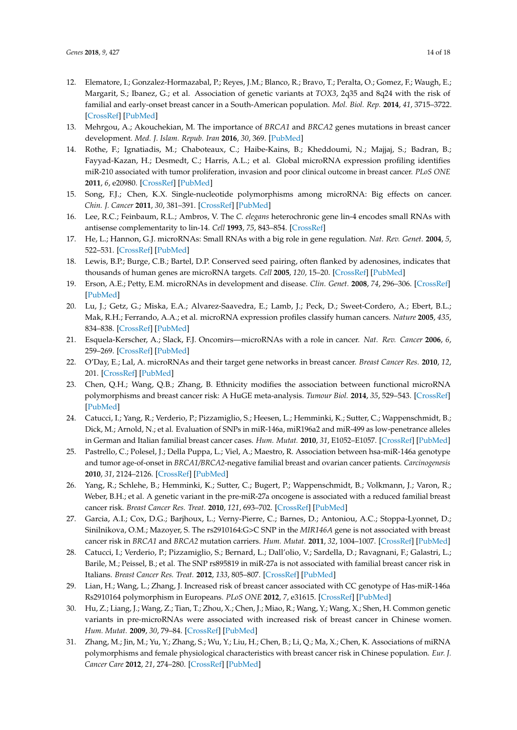- <span id="page-13-0"></span>12. Elematore, I.; Gonzalez-Hormazabal, P.; Reyes, J.M.; Blanco, R.; Bravo, T.; Peralta, O.; Gomez, F.; Waugh, E.; Margarit, S.; Ibanez, G.; et al. Association of genetic variants at *TOX3*, 2q35 and 8q24 with the risk of familial and early-onset breast cancer in a South-American population. *Mol. Biol. Rep.* **2014**, *41*, 3715–3722. [\[CrossRef\]](http://dx.doi.org/10.1007/s11033-014-3236-0) [\[PubMed\]](http://www.ncbi.nlm.nih.gov/pubmed/24532140)
- <span id="page-13-1"></span>13. Mehrgou, A.; Akouchekian, M. The importance of *BRCA1* and *BRCA2* genes mutations in breast cancer development. *Med. J. Islam. Repub. Iran* **2016**, *30*, 369. [\[PubMed\]](http://www.ncbi.nlm.nih.gov/pubmed/27493913)
- <span id="page-13-2"></span>14. Rothe, F.; Ignatiadis, M.; Chaboteaux, C.; Haibe-Kains, B.; Kheddoumi, N.; Majjaj, S.; Badran, B.; Fayyad-Kazan, H.; Desmedt, C.; Harris, A.L.; et al. Global microRNA expression profiling identifies miR-210 associated with tumor proliferation, invasion and poor clinical outcome in breast cancer. *PLoS ONE* **2011**, *6*, e20980. [\[CrossRef\]](http://dx.doi.org/10.1371/journal.pone.0020980) [\[PubMed\]](http://www.ncbi.nlm.nih.gov/pubmed/21738599)
- <span id="page-13-3"></span>15. Song, F.J.; Chen, K.X. Single-nucleotide polymorphisms among microRNA: Big effects on cancer. *Chin. J. Cancer* **2011**, *30*, 381–391. [\[CrossRef\]](http://dx.doi.org/10.5732/cjc.30.0381) [\[PubMed\]](http://www.ncbi.nlm.nih.gov/pubmed/21627860)
- <span id="page-13-4"></span>16. Lee, R.C.; Feinbaum, R.L.; Ambros, V. The *C. elegans* heterochronic gene lin-4 encodes small RNAs with antisense complementarity to lin-14. *Cell* **1993**, *75*, 843–854. [\[CrossRef\]](http://dx.doi.org/10.1016/0092-8674(93)90529-Y)
- <span id="page-13-5"></span>17. He, L.; Hannon, G.J. microRNAs: Small RNAs with a big role in gene regulation. *Nat. Rev. Genet.* **2004**, *5*, 522–531. [\[CrossRef\]](http://dx.doi.org/10.1038/nrg1379) [\[PubMed\]](http://www.ncbi.nlm.nih.gov/pubmed/15211354)
- <span id="page-13-6"></span>18. Lewis, B.P.; Burge, C.B.; Bartel, D.P. Conserved seed pairing, often flanked by adenosines, indicates that thousands of human genes are microRNA targets. *Cell* **2005**, *120*, 15–20. [\[CrossRef\]](http://dx.doi.org/10.1016/j.cell.2004.12.035) [\[PubMed\]](http://www.ncbi.nlm.nih.gov/pubmed/15652477)
- <span id="page-13-7"></span>19. Erson, A.E.; Petty, E.M. microRNAs in development and disease. *Clin. Genet.* **2008**, *74*, 296–306. [\[CrossRef\]](http://dx.doi.org/10.1111/j.1399-0004.2008.01076.x) [\[PubMed\]](http://www.ncbi.nlm.nih.gov/pubmed/18713256)
- <span id="page-13-8"></span>20. Lu, J.; Getz, G.; Miska, E.A.; Alvarez-Saavedra, E.; Lamb, J.; Peck, D.; Sweet-Cordero, A.; Ebert, B.L.; Mak, R.H.; Ferrando, A.A.; et al. microRNA expression profiles classify human cancers. *Nature* **2005**, *435*, 834–838. [\[CrossRef\]](http://dx.doi.org/10.1038/nature03702) [\[PubMed\]](http://www.ncbi.nlm.nih.gov/pubmed/15944708)
- 21. Esquela-Kerscher, A.; Slack, F.J. Oncomirs—microRNAs with a role in cancer. *Nat. Rev. Cancer* **2006**, *6*, 259–269. [\[CrossRef\]](http://dx.doi.org/10.1038/nrc1840) [\[PubMed\]](http://www.ncbi.nlm.nih.gov/pubmed/16557279)
- <span id="page-13-9"></span>22. O'Day, E.; Lal, A. microRNAs and their target gene networks in breast cancer. *Breast Cancer Res.* **2010**, *12*, 201. [\[CrossRef\]](http://dx.doi.org/10.1186/bcr2484) [\[PubMed\]](http://www.ncbi.nlm.nih.gov/pubmed/20346098)
- <span id="page-13-10"></span>23. Chen, Q.H.; Wang, Q.B.; Zhang, B. Ethnicity modifies the association between functional microRNA polymorphisms and breast cancer risk: A HuGE meta-analysis. *Tumour Biol.* **2014**, *35*, 529–543. [\[CrossRef\]](http://dx.doi.org/10.1007/s13277-013-1074-7) [\[PubMed\]](http://www.ncbi.nlm.nih.gov/pubmed/23982873)
- <span id="page-13-11"></span>24. Catucci, I.; Yang, R.; Verderio, P.; Pizzamiglio, S.; Heesen, L.; Hemminki, K.; Sutter, C.; Wappenschmidt, B.; Dick, M.; Arnold, N.; et al. Evaluation of SNPs in miR-146a, miR196a2 and miR-499 as low-penetrance alleles in German and Italian familial breast cancer cases. *Hum. Mutat.* **2010**, *31*, E1052–E1057. [\[CrossRef\]](http://dx.doi.org/10.1002/humu.21141) [\[PubMed\]](http://www.ncbi.nlm.nih.gov/pubmed/19847796)
- <span id="page-13-16"></span>25. Pastrello, C.; Polesel, J.; Della Puppa, L.; Viel, A.; Maestro, R. Association between hsa-miR-146a genotype and tumor age-of-onset in *BRCA1/BRCA2*-negative familial breast and ovarian cancer patients. *Carcinogenesis* **2010**, *31*, 2124–2126. [\[CrossRef\]](http://dx.doi.org/10.1093/carcin/bgq184) [\[PubMed\]](http://www.ncbi.nlm.nih.gov/pubmed/20810544)
- 26. Yang, R.; Schlehe, B.; Hemminki, K.; Sutter, C.; Bugert, P.; Wappenschmidt, B.; Volkmann, J.; Varon, R.; Weber, B.H.; et al. A genetic variant in the pre-miR-27a oncogene is associated with a reduced familial breast cancer risk. *Breast Cancer Res. Treat.* **2010**, *121*, 693–702. [\[CrossRef\]](http://dx.doi.org/10.1007/s10549-009-0633-5) [\[PubMed\]](http://www.ncbi.nlm.nih.gov/pubmed/19921425)
- <span id="page-13-15"></span>27. Garcia, A.I.; Cox, D.G.; Barjhoux, L.; Verny-Pierre, C.; Barnes, D.; Antoniou, A.C.; Stoppa-Lyonnet, D.; Sinilnikova, O.M.; Mazoyer, S. The rs2910164:G>C SNP in the *MIR146A* gene is not associated with breast cancer risk in *BRCA1* and *BRCA2* mutation carriers. *Hum. Mutat.* **2011**, *32*, 1004–1007. [\[CrossRef\]](http://dx.doi.org/10.1002/humu.21539) [\[PubMed\]](http://www.ncbi.nlm.nih.gov/pubmed/21591024)
- 28. Catucci, I.; Verderio, P.; Pizzamiglio, S.; Bernard, L.; Dall'olio, V.; Sardella, D.; Ravagnani, F.; Galastri, L.; Barile, M.; Peissel, B.; et al. The SNP rs895819 in miR-27a is not associated with familial breast cancer risk in Italians. *Breast Cancer Res. Treat.* **2012**, *133*, 805–807. [\[CrossRef\]](http://dx.doi.org/10.1007/s10549-012-2011-y) [\[PubMed\]](http://www.ncbi.nlm.nih.gov/pubmed/22415478)
- <span id="page-13-12"></span>29. Lian, H.; Wang, L.; Zhang, J. Increased risk of breast cancer associated with CC genotype of Has-miR-146a Rs2910164 polymorphism in Europeans. *PLoS ONE* **2012**, *7*, e31615. [\[CrossRef\]](http://dx.doi.org/10.1371/journal.pone.0031615) [\[PubMed\]](http://www.ncbi.nlm.nih.gov/pubmed/22363684)
- <span id="page-13-13"></span>30. Hu, Z.; Liang, J.; Wang, Z.; Tian, T.; Zhou, X.; Chen, J.; Miao, R.; Wang, Y.; Wang, X.; Shen, H. Common genetic variants in pre-microRNAs were associated with increased risk of breast cancer in Chinese women. *Hum. Mutat.* **2009**, *30*, 79–84. [\[CrossRef\]](http://dx.doi.org/10.1002/humu.20837) [\[PubMed\]](http://www.ncbi.nlm.nih.gov/pubmed/18634034)
- <span id="page-13-14"></span>31. Zhang, M.; Jin, M.; Yu, Y.; Zhang, S.; Wu, Y.; Liu, H.; Chen, B.; Li, Q.; Ma, X.; Chen, K. Associations of miRNA polymorphisms and female physiological characteristics with breast cancer risk in Chinese population. *Eur. J. Cancer Care* **2012**, *21*, 274–280. [\[CrossRef\]](http://dx.doi.org/10.1111/j.1365-2354.2011.01308.x) [\[PubMed\]](http://www.ncbi.nlm.nih.gov/pubmed/22074121)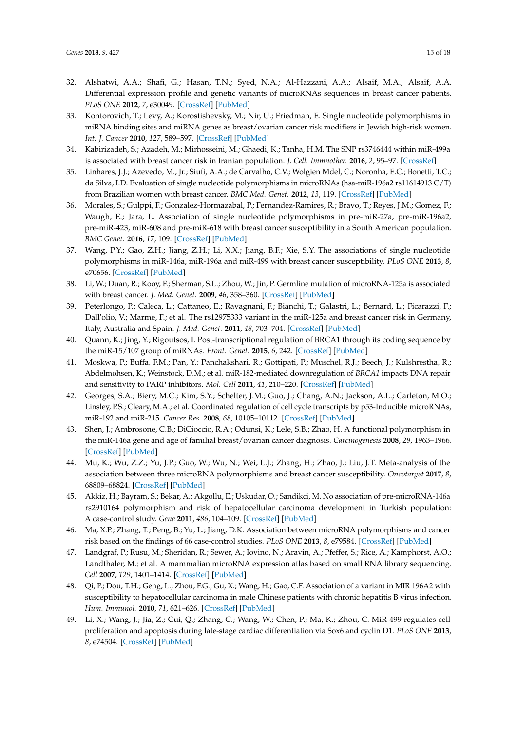- <span id="page-14-0"></span>32. Alshatwi, A.A.; Shafi, G.; Hasan, T.N.; Syed, N.A.; Al-Hazzani, A.A.; Alsaif, M.A.; Alsaif, A.A. Differential expression profile and genetic variants of microRNAs sequences in breast cancer patients. *PLoS ONE* **2012**, *7*, e30049. [\[CrossRef\]](http://dx.doi.org/10.1371/journal.pone.0030049) [\[PubMed\]](http://www.ncbi.nlm.nih.gov/pubmed/22363415)
- <span id="page-14-1"></span>33. Kontorovich, T.; Levy, A.; Korostishevsky, M.; Nir, U.; Friedman, E. Single nucleotide polymorphisms in miRNA binding sites and miRNA genes as breast/ovarian cancer risk modifiers in Jewish high-risk women. *Int. J. Cancer* **2010**, *127*, 589–597. [\[CrossRef\]](http://dx.doi.org/10.1002/ijc.25065) [\[PubMed\]](http://www.ncbi.nlm.nih.gov/pubmed/19950226)
- <span id="page-14-2"></span>34. Kabirizadeh, S.; Azadeh, M.; Mirhosseini, M.; Ghaedi, K.; Tanha, H.M. The SNP rs3746444 within miR-499a is associated with breast cancer risk in Iranian population. *J. Cell. Immnother.* **2016**, *2*, 95–97. [\[CrossRef\]](http://dx.doi.org/10.1016/j.jocit.2016.08.003)
- <span id="page-14-3"></span>35. Linhares, J.J.; Azevedo, M., Jr.; Siufi, A.A.; de Carvalho, C.V.; Wolgien Mdel, C.; Noronha, E.C.; Bonetti, T.C.; da Silva, I.D. Evaluation of single nucleotide polymorphisms in microRNAs (hsa-miR-196a2 rs11614913 C/T) from Brazilian women with breast cancer. *BMC Med. Genet.* **2012**, *13*, 119. [\[CrossRef\]](http://dx.doi.org/10.1186/1471-2350-13-119) [\[PubMed\]](http://www.ncbi.nlm.nih.gov/pubmed/23228090)
- <span id="page-14-4"></span>36. Morales, S.; Gulppi, F.; Gonzalez-Hormazabal, P.; Fernandez-Ramires, R.; Bravo, T.; Reyes, J.M.; Gomez, F.; Waugh, E.; Jara, L. Association of single nucleotide polymorphisms in pre-miR-27a, pre-miR-196a2, pre-miR-423, miR-608 and pre-miR-618 with breast cancer susceptibility in a South American population. *BMC Genet.* **2016**, *17*, 109. [\[CrossRef\]](http://dx.doi.org/10.1186/s12863-016-0415-0) [\[PubMed\]](http://www.ncbi.nlm.nih.gov/pubmed/27421647)
- <span id="page-14-5"></span>37. Wang, P.Y.; Gao, Z.H.; Jiang, Z.H.; Li, X.X.; Jiang, B.F.; Xie, S.Y. The associations of single nucleotide polymorphisms in miR-146a, miR-196a and miR-499 with breast cancer susceptibility. *PLoS ONE* **2013**, *8*, e70656. [\[CrossRef\]](http://dx.doi.org/10.1371/journal.pone.0070656) [\[PubMed\]](http://www.ncbi.nlm.nih.gov/pubmed/24039706)
- <span id="page-14-15"></span>38. Li, W.; Duan, R.; Kooy, F.; Sherman, S.L.; Zhou, W.; Jin, P. Germline mutation of microRNA-125a is associated with breast cancer. *J. Med. Genet.* **2009**, *46*, 358–360. [\[CrossRef\]](http://dx.doi.org/10.1136/jmg.2008.063123) [\[PubMed\]](http://www.ncbi.nlm.nih.gov/pubmed/19411564)
- <span id="page-14-6"></span>39. Peterlongo, P.; Caleca, L.; Cattaneo, E.; Ravagnani, F.; Bianchi, T.; Galastri, L.; Bernard, L.; Ficarazzi, F.; Dall'olio, V.; Marme, F.; et al. The rs12975333 variant in the miR-125a and breast cancer risk in Germany, Italy, Australia and Spain. *J. Med. Genet.* **2011**, *48*, 703–704. [\[CrossRef\]](http://dx.doi.org/10.1136/jmedgenet-2011-100103) [\[PubMed\]](http://www.ncbi.nlm.nih.gov/pubmed/21931172)
- <span id="page-14-7"></span>40. Quann, K.; Jing, Y.; Rigoutsos, I. Post-transcriptional regulation of BRCA1 through its coding sequence by the miR-15/107 group of miRNAs. *Front. Genet.* **2015**, *6*, 242. [\[CrossRef\]](http://dx.doi.org/10.3389/fgene.2015.00242) [\[PubMed\]](http://www.ncbi.nlm.nih.gov/pubmed/26257769)
- <span id="page-14-16"></span>41. Moskwa, P.; Buffa, F.M.; Pan, Y.; Panchakshari, R.; Gottipati, P.; Muschel, R.J.; Beech, J.; Kulshrestha, R.; Abdelmohsen, K.; Weinstock, D.M.; et al. miR-182-mediated downregulation of *BRCA1* impacts DNA repair and sensitivity to PARP inhibitors. *Mol. Cell* **2011**, *41*, 210–220. [\[CrossRef\]](http://dx.doi.org/10.1016/j.molcel.2010.12.005) [\[PubMed\]](http://www.ncbi.nlm.nih.gov/pubmed/21195000)
- 42. Georges, S.A.; Biery, M.C.; Kim, S.Y.; Schelter, J.M.; Guo, J.; Chang, A.N.; Jackson, A.L.; Carleton, M.O.; Linsley, P.S.; Cleary, M.A.; et al. Coordinated regulation of cell cycle transcripts by p53-Inducible microRNAs, miR-192 and miR-215. *Cancer Res.* **2008**, *68*, 10105–10112. [\[CrossRef\]](http://dx.doi.org/10.1158/0008-5472.CAN-08-1846) [\[PubMed\]](http://www.ncbi.nlm.nih.gov/pubmed/19074876)
- <span id="page-14-8"></span>43. Shen, J.; Ambrosone, C.B.; DiCioccio, R.A.; Odunsi, K.; Lele, S.B.; Zhao, H. A functional polymorphism in the miR-146a gene and age of familial breast/ovarian cancer diagnosis. *Carcinogenesis* **2008**, *29*, 1963–1966. [\[CrossRef\]](http://dx.doi.org/10.1093/carcin/bgn172) [\[PubMed\]](http://www.ncbi.nlm.nih.gov/pubmed/18660546)
- <span id="page-14-9"></span>44. Mu, K.; Wu, Z.Z.; Yu, J.P.; Guo, W.; Wu, N.; Wei, L.J.; Zhang, H.; Zhao, J.; Liu, J.T. Meta-analysis of the association between three microRNA polymorphisms and breast cancer susceptibility. *Oncotarget* **2017**, *8*, 68809–68824. [\[CrossRef\]](http://dx.doi.org/10.18632/oncotarget.18516) [\[PubMed\]](http://www.ncbi.nlm.nih.gov/pubmed/28978158)
- <span id="page-14-10"></span>45. Akkiz, H.; Bayram, S.; Bekar, A.; Akgollu, E.; Uskudar, O.; Sandikci, M. No association of pre-microRNA-146a rs2910164 polymorphism and risk of hepatocellular carcinoma development in Turkish population: A case-control study. *Gene* **2011**, *486*, 104–109. [\[CrossRef\]](http://dx.doi.org/10.1016/j.gene.2011.07.006) [\[PubMed\]](http://www.ncbi.nlm.nih.gov/pubmed/21807077)
- <span id="page-14-11"></span>46. Ma, X.P.; Zhang, T.; Peng, B.; Yu, L.; Jiang, D.K. Association between microRNA polymorphisms and cancer risk based on the findings of 66 case-control studies. *PLoS ONE* **2013**, *8*, e79584. [\[CrossRef\]](http://dx.doi.org/10.1371/journal.pone.0079584) [\[PubMed\]](http://www.ncbi.nlm.nih.gov/pubmed/24278149)
- <span id="page-14-12"></span>47. Landgraf, P.; Rusu, M.; Sheridan, R.; Sewer, A.; Iovino, N.; Aravin, A.; Pfeffer, S.; Rice, A.; Kamphorst, A.O.; Landthaler, M.; et al. A mammalian microRNA expression atlas based on small RNA library sequencing. *Cell* **2007**, *129*, 1401–1414. [\[CrossRef\]](http://dx.doi.org/10.1016/j.cell.2007.04.040) [\[PubMed\]](http://www.ncbi.nlm.nih.gov/pubmed/17604727)
- <span id="page-14-14"></span>48. Qi, P.; Dou, T.H.; Geng, L.; Zhou, F.G.; Gu, X.; Wang, H.; Gao, C.F. Association of a variant in MIR 196A2 with susceptibility to hepatocellular carcinoma in male Chinese patients with chronic hepatitis B virus infection. *Hum. Immunol.* **2010**, *71*, 621–626. [\[CrossRef\]](http://dx.doi.org/10.1016/j.humimm.2010.02.017) [\[PubMed\]](http://www.ncbi.nlm.nih.gov/pubmed/20188135)
- <span id="page-14-13"></span>49. Li, X.; Wang, J.; Jia, Z.; Cui, Q.; Zhang, C.; Wang, W.; Chen, P.; Ma, K.; Zhou, C. MiR-499 regulates cell proliferation and apoptosis during late-stage cardiac differentiation via Sox6 and cyclin D1. *PLoS ONE* **2013**, *8*, e74504. [\[CrossRef\]](http://dx.doi.org/10.1371/journal.pone.0074504) [\[PubMed\]](http://www.ncbi.nlm.nih.gov/pubmed/24040263)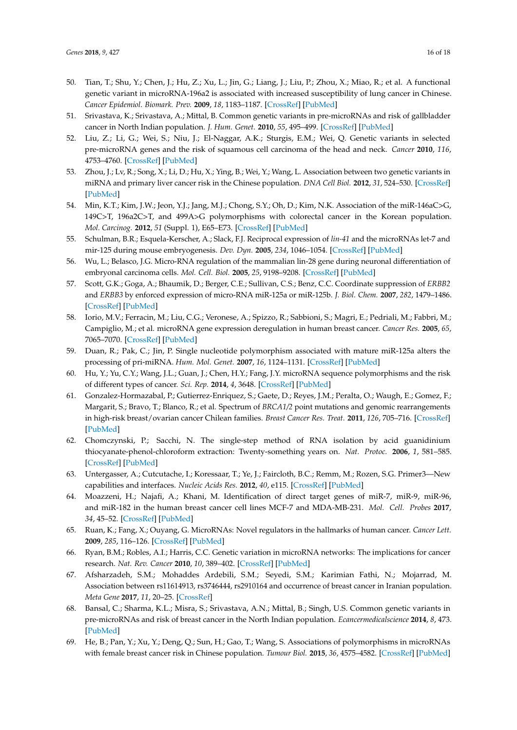- <span id="page-15-0"></span>50. Tian, T.; Shu, Y.; Chen, J.; Hu, Z.; Xu, L.; Jin, G.; Liang, J.; Liu, P.; Zhou, X.; Miao, R.; et al. A functional genetic variant in microRNA-196a2 is associated with increased susceptibility of lung cancer in Chinese. *Cancer Epidemiol. Biomark. Prev.* **2009**, *18*, 1183–1187. [\[CrossRef\]](http://dx.doi.org/10.1158/1055-9965.EPI-08-0814) [\[PubMed\]](http://www.ncbi.nlm.nih.gov/pubmed/19293314)
- <span id="page-15-1"></span>51. Srivastava, K.; Srivastava, A.; Mittal, B. Common genetic variants in pre-microRNAs and risk of gallbladder cancer in North Indian population. *J. Hum. Genet.* **2010**, *55*, 495–499. [\[CrossRef\]](http://dx.doi.org/10.1038/jhg.2010.54) [\[PubMed\]](http://www.ncbi.nlm.nih.gov/pubmed/20520619)
- <span id="page-15-2"></span>52. Liu, Z.; Li, G.; Wei, S.; Niu, J.; El-Naggar, A.K.; Sturgis, E.M.; Wei, Q. Genetic variants in selected pre-microRNA genes and the risk of squamous cell carcinoma of the head and neck. *Cancer* **2010**, *116*, 4753–4760. [\[CrossRef\]](http://dx.doi.org/10.1002/cncr.25323) [\[PubMed\]](http://www.ncbi.nlm.nih.gov/pubmed/20549817)
- <span id="page-15-3"></span>53. Zhou, J.; Lv, R.; Song, X.; Li, D.; Hu, X.; Ying, B.; Wei, Y.; Wang, L. Association between two genetic variants in miRNA and primary liver cancer risk in the Chinese population. *DNA Cell Biol.* **2012**, *31*, 524–530. [\[CrossRef\]](http://dx.doi.org/10.1089/dna.2011.1340) [\[PubMed\]](http://www.ncbi.nlm.nih.gov/pubmed/21861697)
- <span id="page-15-4"></span>54. Min, K.T.; Kim, J.W.; Jeon, Y.J.; Jang, M.J.; Chong, S.Y.; Oh, D.; Kim, N.K. Association of the miR-146aC>G, 149C>T, 196a2C>T, and 499A>G polymorphisms with colorectal cancer in the Korean population. *Mol. Carcinog.* **2012**, *51* (Suppl. 1), E65–E73. [\[CrossRef\]](http://dx.doi.org/10.1002/mc.21849) [\[PubMed\]](http://www.ncbi.nlm.nih.gov/pubmed/22161766)
- <span id="page-15-5"></span>55. Schulman, B.R.; Esquela-Kerscher, A.; Slack, F.J. Reciprocal expression of *lin-41* and the microRNAs let-7 and mir-125 during mouse embryogenesis. *Dev. Dyn.* **2005**, *234*, 1046–1054. [\[CrossRef\]](http://dx.doi.org/10.1002/dvdy.20599) [\[PubMed\]](http://www.ncbi.nlm.nih.gov/pubmed/16247770)
- 56. Wu, L.; Belasco, J.G. Micro-RNA regulation of the mammalian lin-28 gene during neuronal differentiation of embryonal carcinoma cells. *Mol. Cell. Biol.* **2005**, *25*, 9198–9208. [\[CrossRef\]](http://dx.doi.org/10.1128/MCB.25.21.9198-9208.2005) [\[PubMed\]](http://www.ncbi.nlm.nih.gov/pubmed/16227573)
- <span id="page-15-6"></span>57. Scott, G.K.; Goga, A.; Bhaumik, D.; Berger, C.E.; Sullivan, C.S.; Benz, C.C. Coordinate suppression of *ERBB2* and *ERBB3* by enforced expression of micro-RNA miR-125a or miR-125b. *J. Biol. Chem.* **2007**, *282*, 1479–1486. [\[CrossRef\]](http://dx.doi.org/10.1074/jbc.M609383200) [\[PubMed\]](http://www.ncbi.nlm.nih.gov/pubmed/17110380)
- <span id="page-15-7"></span>58. Iorio, M.V.; Ferracin, M.; Liu, C.G.; Veronese, A.; Spizzo, R.; Sabbioni, S.; Magri, E.; Pedriali, M.; Fabbri, M.; Campiglio, M.; et al. microRNA gene expression deregulation in human breast cancer. *Cancer Res.* **2005**, *65*, 7065–7070. [\[CrossRef\]](http://dx.doi.org/10.1158/0008-5472.CAN-05-1783) [\[PubMed\]](http://www.ncbi.nlm.nih.gov/pubmed/16103053)
- <span id="page-15-8"></span>59. Duan, R.; Pak, C.; Jin, P. Single nucleotide polymorphism associated with mature miR-125a alters the processing of pri-miRNA. *Hum. Mol. Genet.* **2007**, *16*, 1124–1131. [\[CrossRef\]](http://dx.doi.org/10.1093/hmg/ddm062) [\[PubMed\]](http://www.ncbi.nlm.nih.gov/pubmed/17400653)
- <span id="page-15-9"></span>60. Hu, Y.; Yu, C.Y.; Wang, J.L.; Guan, J.; Chen, H.Y.; Fang, J.Y. microRNA sequence polymorphisms and the risk of different types of cancer. *Sci. Rep.* **2014**, *4*, 3648. [\[CrossRef\]](http://dx.doi.org/10.1038/srep03648) [\[PubMed\]](http://www.ncbi.nlm.nih.gov/pubmed/24413317)
- <span id="page-15-10"></span>61. Gonzalez-Hormazabal, P.; Gutierrez-Enriquez, S.; Gaete, D.; Reyes, J.M.; Peralta, O.; Waugh, E.; Gomez, F.; Margarit, S.; Bravo, T.; Blanco, R.; et al. Spectrum of *BRCA1/2* point mutations and genomic rearrangements in high-risk breast/ovarian cancer Chilean families. *Breast Cancer Res. Treat.* **2011**, *126*, 705–716. [\[CrossRef\]](http://dx.doi.org/10.1007/s10549-010-1170-y) [\[PubMed\]](http://www.ncbi.nlm.nih.gov/pubmed/20859677)
- <span id="page-15-11"></span>62. Chomczynski, P.; Sacchi, N. The single-step method of RNA isolation by acid guanidinium thiocyanate-phenol-chloroform extraction: Twenty-something years on. *Nat. Protoc.* **2006**, *1*, 581–585. [\[CrossRef\]](http://dx.doi.org/10.1038/nprot.2006.83) [\[PubMed\]](http://www.ncbi.nlm.nih.gov/pubmed/17406285)
- <span id="page-15-12"></span>63. Untergasser, A.; Cutcutache, I.; Koressaar, T.; Ye, J.; Faircloth, B.C.; Remm, M.; Rozen, S.G. Primer3—New capabilities and interfaces. *Nucleic Acids Res.* **2012**, *40*, e115. [\[CrossRef\]](http://dx.doi.org/10.1093/nar/gks596) [\[PubMed\]](http://www.ncbi.nlm.nih.gov/pubmed/22730293)
- <span id="page-15-13"></span>64. Moazzeni, H.; Najafi, A.; Khani, M. Identification of direct target genes of miR-7, miR-9, miR-96, and miR-182 in the human breast cancer cell lines MCF-7 and MDA-MB-231. *Mol. Cell. Probes* **2017**, *34*, 45–52. [\[CrossRef\]](http://dx.doi.org/10.1016/j.mcp.2017.05.005) [\[PubMed\]](http://www.ncbi.nlm.nih.gov/pubmed/28546132)
- <span id="page-15-14"></span>65. Ruan, K.; Fang, X.; Ouyang, G. MicroRNAs: Novel regulators in the hallmarks of human cancer. *Cancer Lett.* **2009**, *285*, 116–126. [\[CrossRef\]](http://dx.doi.org/10.1016/j.canlet.2009.04.031) [\[PubMed\]](http://www.ncbi.nlm.nih.gov/pubmed/19464788)
- <span id="page-15-15"></span>66. Ryan, B.M.; Robles, A.I.; Harris, C.C. Genetic variation in microRNA networks: The implications for cancer research. *Nat. Rev. Cancer* **2010**, *10*, 389–402. [\[CrossRef\]](http://dx.doi.org/10.1038/nrc2867) [\[PubMed\]](http://www.ncbi.nlm.nih.gov/pubmed/20495573)
- <span id="page-15-16"></span>67. Afsharzadeh, S.M.; Mohaddes Ardebili, S.M.; Seyedi, S.M.; Karimian Fathi, N.; Mojarrad, M. Association between rs11614913, rs3746444, rs2910164 and occurrence of breast cancer in Iranian population. *Meta Gene* **2017**, *11*, 20–25. [\[CrossRef\]](http://dx.doi.org/10.1016/j.mgene.2016.11.004)
- <span id="page-15-18"></span>68. Bansal, C.; Sharma, K.L.; Misra, S.; Srivastava, A.N.; Mittal, B.; Singh, U.S. Common genetic variants in pre-microRNAs and risk of breast cancer in the North Indian population. *Ecancermedicalscience* **2014**, *8*, 473. [\[PubMed\]](http://www.ncbi.nlm.nih.gov/pubmed/25374621)
- <span id="page-15-17"></span>69. He, B.; Pan, Y.; Xu, Y.; Deng, Q.; Sun, H.; Gao, T.; Wang, S. Associations of polymorphisms in microRNAs with female breast cancer risk in Chinese population. *Tumour Biol.* **2015**, *36*, 4575–4582. [\[CrossRef\]](http://dx.doi.org/10.1007/s13277-015-3102-2) [\[PubMed\]](http://www.ncbi.nlm.nih.gov/pubmed/25613069)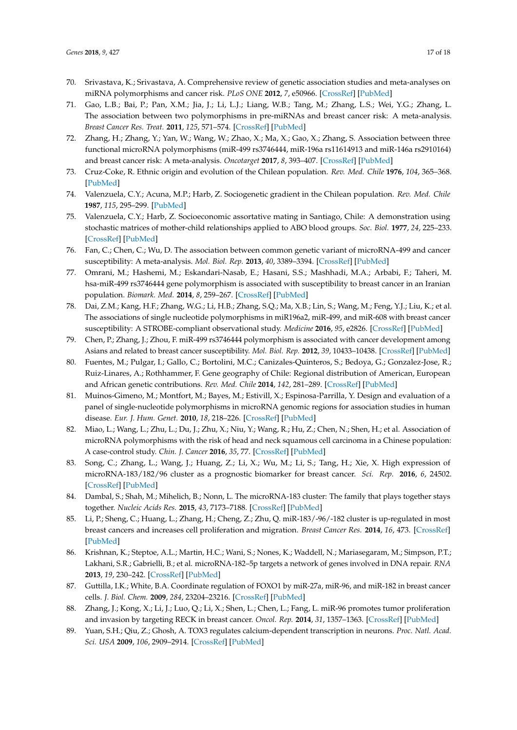- <span id="page-16-0"></span>70. Srivastava, K.; Srivastava, A. Comprehensive review of genetic association studies and meta-analyses on miRNA polymorphisms and cancer risk. *PLoS ONE* **2012**, *7*, e50966. [\[CrossRef\]](http://dx.doi.org/10.1371/journal.pone.0050966) [\[PubMed\]](http://www.ncbi.nlm.nih.gov/pubmed/23226435)
- <span id="page-16-1"></span>71. Gao, L.B.; Bai, P.; Pan, X.M.; Jia, J.; Li, L.J.; Liang, W.B.; Tang, M.; Zhang, L.S.; Wei, Y.G.; Zhang, L. The association between two polymorphisms in pre-miRNAs and breast cancer risk: A meta-analysis. *Breast Cancer Res. Treat.* **2011**, *125*, 571–574. [\[CrossRef\]](http://dx.doi.org/10.1007/s10549-010-0993-x) [\[PubMed\]](http://www.ncbi.nlm.nih.gov/pubmed/20640596)
- <span id="page-16-2"></span>72. Zhang, H.; Zhang, Y.; Yan, W.; Wang, W.; Zhao, X.; Ma, X.; Gao, X.; Zhang, S. Association between three functional microRNA polymorphisms (miR-499 rs3746444, miR-196a rs11614913 and miR-146a rs2910164) and breast cancer risk: A meta-analysis. *Oncotarget* **2017**, *8*, 393–407. [\[CrossRef\]](http://dx.doi.org/10.18632/oncotarget.13426) [\[PubMed\]](http://www.ncbi.nlm.nih.gov/pubmed/27880723)
- <span id="page-16-3"></span>73. Cruz-Coke, R. Ethnic origin and evolution of the Chilean population. *Rev. Med. Chile* **1976**, *104*, 365–368. [\[PubMed\]](http://www.ncbi.nlm.nih.gov/pubmed/968247)
- <span id="page-16-4"></span>74. Valenzuela, C.Y.; Acuna, M.P.; Harb, Z. Sociogenetic gradient in the Chilean population. *Rev. Med. Chile* **1987**, *115*, 295–299. [\[PubMed\]](http://www.ncbi.nlm.nih.gov/pubmed/3129771)
- <span id="page-16-5"></span>75. Valenzuela, C.Y.; Harb, Z. Socioeconomic assortative mating in Santiago, Chile: A demonstration using stochastic matrices of mother-child relationships applied to ABO blood groups. *Soc. Biol.* **1977**, *24*, 225–233. [\[CrossRef\]](http://dx.doi.org/10.1080/19485565.1977.9988285) [\[PubMed\]](http://www.ncbi.nlm.nih.gov/pubmed/929235)
- <span id="page-16-6"></span>76. Fan, C.; Chen, C.; Wu, D. The association between common genetic variant of microRNA-499 and cancer susceptibility: A meta-analysis. *Mol. Biol. Rep.* **2013**, *40*, 3389–3394. [\[CrossRef\]](http://dx.doi.org/10.1007/s11033-012-2416-z) [\[PubMed\]](http://www.ncbi.nlm.nih.gov/pubmed/23271127)
- <span id="page-16-7"></span>77. Omrani, M.; Hashemi, M.; Eskandari-Nasab, E.; Hasani, S.S.; Mashhadi, M.A.; Arbabi, F.; Taheri, M. hsa-miR-499 rs3746444 gene polymorphism is associated with susceptibility to breast cancer in an Iranian population. *Biomark. Med.* **2014**, *8*, 259–267. [\[CrossRef\]](http://dx.doi.org/10.2217/bmm.13.118) [\[PubMed\]](http://www.ncbi.nlm.nih.gov/pubmed/24521023)
- <span id="page-16-8"></span>78. Dai, Z.M.; Kang, H.F.; Zhang, W.G.; Li, H.B.; Zhang, S.Q.; Ma, X.B.; Lin, S.; Wang, M.; Feng, Y.J.; Liu, K.; et al. The associations of single nucleotide polymorphisms in miR196a2, miR-499, and miR-608 with breast cancer susceptibility: A STROBE-compliant observational study. *Medicine* **2016**, *95*, e2826. [\[CrossRef\]](http://dx.doi.org/10.1097/MD.0000000000002826) [\[PubMed\]](http://www.ncbi.nlm.nih.gov/pubmed/26886638)
- <span id="page-16-9"></span>79. Chen, P.; Zhang, J.; Zhou, F. miR-499 rs3746444 polymorphism is associated with cancer development among Asians and related to breast cancer susceptibility. *Mol. Biol. Rep.* **2012**, *39*, 10433–10438. [\[CrossRef\]](http://dx.doi.org/10.1007/s11033-012-1922-3) [\[PubMed\]](http://www.ncbi.nlm.nih.gov/pubmed/23053947)
- <span id="page-16-10"></span>80. Fuentes, M.; Pulgar, I.; Gallo, C.; Bortolini, M.C.; Canizales-Quinteros, S.; Bedoya, G.; Gonzalez-Jose, R.; Ruiz-Linares, A.; Rothhammer, F. Gene geography of Chile: Regional distribution of American, European and African genetic contributions. *Rev. Med. Chile* **2014**, *142*, 281–289. [\[CrossRef\]](http://dx.doi.org/10.4067/S0034-98872014000300001) [\[PubMed\]](http://www.ncbi.nlm.nih.gov/pubmed/25052264)
- <span id="page-16-11"></span>81. Muinos-Gimeno, M.; Montfort, M.; Bayes, M.; Estivill, X.; Espinosa-Parrilla, Y. Design and evaluation of a panel of single-nucleotide polymorphisms in microRNA genomic regions for association studies in human disease. *Eur. J. Hum. Genet.* **2010**, *18*, 218–226. [\[CrossRef\]](http://dx.doi.org/10.1038/ejhg.2009.165) [\[PubMed\]](http://www.ncbi.nlm.nih.gov/pubmed/19809479)
- <span id="page-16-12"></span>82. Miao, L.; Wang, L.; Zhu, L.; Du, J.; Zhu, X.; Niu, Y.; Wang, R.; Hu, Z.; Chen, N.; Shen, H.; et al. Association of microRNA polymorphisms with the risk of head and neck squamous cell carcinoma in a Chinese population: A case-control study. *Chin. J. Cancer* **2016**, *35*, 77. [\[CrossRef\]](http://dx.doi.org/10.1186/s40880-016-0136-9) [\[PubMed\]](http://www.ncbi.nlm.nih.gov/pubmed/27515039)
- <span id="page-16-13"></span>83. Song, C.; Zhang, L.; Wang, J.; Huang, Z.; Li, X.; Wu, M.; Li, S.; Tang, H.; Xie, X. High expression of microRNA-183/182/96 cluster as a prognostic biomarker for breast cancer. *Sci. Rep.* **2016**, *6*, 24502. [\[CrossRef\]](http://dx.doi.org/10.1038/srep24502) [\[PubMed\]](http://www.ncbi.nlm.nih.gov/pubmed/27071841)
- <span id="page-16-14"></span>84. Dambal, S.; Shah, M.; Mihelich, B.; Nonn, L. The microRNA-183 cluster: The family that plays together stays together. *Nucleic Acids Res.* **2015**, *43*, 7173–7188. [\[CrossRef\]](http://dx.doi.org/10.1093/nar/gkv703) [\[PubMed\]](http://www.ncbi.nlm.nih.gov/pubmed/26170234)
- <span id="page-16-15"></span>85. Li, P.; Sheng, C.; Huang, L.; Zhang, H.; Cheng, Z.; Zhu, Q. miR-183/-96/-182 cluster is up-regulated in most breast cancers and increases cell proliferation and migration. *Breast Cancer Res.* **2014**, *16*, 473. [\[CrossRef\]](http://dx.doi.org/10.1186/s13058-014-0473-z) [\[PubMed\]](http://www.ncbi.nlm.nih.gov/pubmed/25394902)
- <span id="page-16-16"></span>86. Krishnan, K.; Steptoe, A.L.; Martin, H.C.; Wani, S.; Nones, K.; Waddell, N.; Mariasegaram, M.; Simpson, P.T.; Lakhani, S.R.; Gabrielli, B.; et al. microRNA-182–5p targets a network of genes involved in DNA repair. *RNA* **2013**, *19*, 230–242. [\[CrossRef\]](http://dx.doi.org/10.1261/rna.034926.112) [\[PubMed\]](http://www.ncbi.nlm.nih.gov/pubmed/23249749)
- <span id="page-16-17"></span>87. Guttilla, I.K.; White, B.A. Coordinate regulation of FOXO1 by miR-27a, miR-96, and miR-182 in breast cancer cells. *J. Biol. Chem.* **2009**, *284*, 23204–23216. [\[CrossRef\]](http://dx.doi.org/10.1074/jbc.M109.031427) [\[PubMed\]](http://www.ncbi.nlm.nih.gov/pubmed/19574223)
- <span id="page-16-18"></span>88. Zhang, J.; Kong, X.; Li, J.; Luo, Q.; Li, X.; Shen, L.; Chen, L.; Fang, L. miR-96 promotes tumor proliferation and invasion by targeting RECK in breast cancer. *Oncol. Rep.* **2014**, *31*, 1357–1363. [\[CrossRef\]](http://dx.doi.org/10.3892/or.2013.2934) [\[PubMed\]](http://www.ncbi.nlm.nih.gov/pubmed/24366472)
- <span id="page-16-19"></span>89. Yuan, S.H.; Qiu, Z.; Ghosh, A. TOX3 regulates calcium-dependent transcription in neurons. *Proc. Natl. Acad. Sci. USA* **2009**, *106*, 2909–2914. [\[CrossRef\]](http://dx.doi.org/10.1073/pnas.0805555106) [\[PubMed\]](http://www.ncbi.nlm.nih.gov/pubmed/19196971)